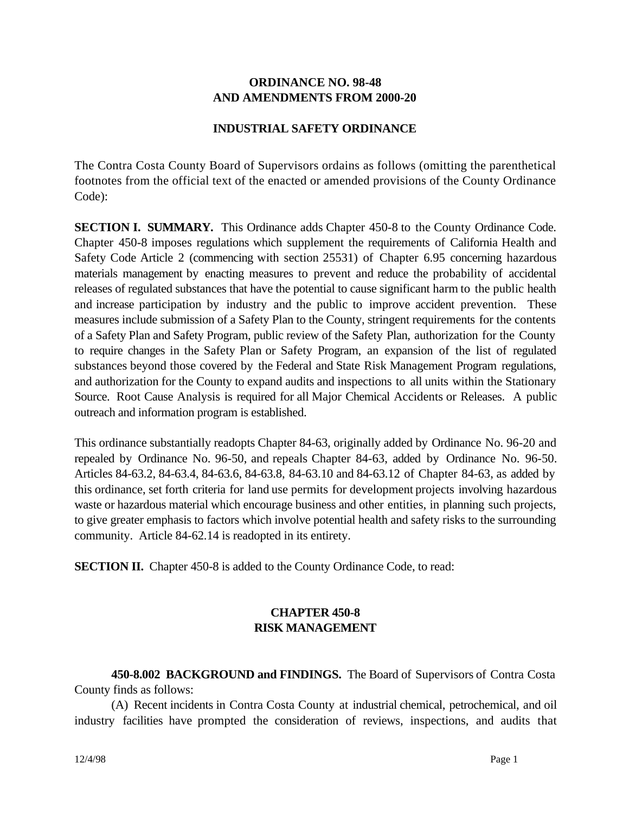#### **ORDINANCE NO. 98-48 AND AMENDMENTS FROM 2000-20**

#### **INDUSTRIAL SAFETY ORDINANCE**

The Contra Costa County Board of Supervisors ordains as follows (omitting the parenthetical footnotes from the official text of the enacted or amended provisions of the County Ordinance Code):

**SECTION I. SUMMARY.** This Ordinance adds Chapter 450-8 to the County Ordinance Code. Chapter 450-8 imposes regulations which supplement the requirements of California Health and Safety Code Article 2 (commencing with section 25531) of Chapter 6.95 concerning hazardous materials management by enacting measures to prevent and reduce the probability of accidental releases of regulated substances that have the potential to cause significant harm to the public health and increase participation by industry and the public to improve accident prevention. These measures include submission of a Safety Plan to the County, stringent requirements for the contents of a Safety Plan and Safety Program, public review of the Safety Plan, authorization for the County to require changes in the Safety Plan or Safety Program, an expansion of the list of regulated substances beyond those covered by the Federal and State Risk Management Program regulations, and authorization for the County to expand audits and inspections to all units within the Stationary Source. Root Cause Analysis is required for all Major Chemical Accidents or Releases. A public outreach and information program is established.

This ordinance substantially readopts Chapter 84-63, originally added by Ordinance No. 96-20 and repealed by Ordinance No. 96-50, and repeals Chapter 84-63, added by Ordinance No. 96-50. Articles 84-63.2, 84-63.4, 84-63.6, 84-63.8, 84-63.10 and 84-63.12 of Chapter 84-63, as added by this ordinance, set forth criteria for land use permits for development projects involving hazardous waste or hazardous material which encourage business and other entities, in planning such projects, to give greater emphasis to factors which involve potential health and safety risks to the surrounding community. Article 84-62.14 is readopted in its entirety.

**SECTION II.** Chapter 450-8 is added to the County Ordinance Code, to read:

## **CHAPTER 450-8 RISK MANAGEMENT**

**450-8.002 BACKGROUND and FINDINGS.** The Board of Supervisors of Contra Costa County finds as follows:

(A) Recent incidents in Contra Costa County at industrial chemical, petrochemical, and oil industry facilities have prompted the consideration of reviews, inspections, and audits that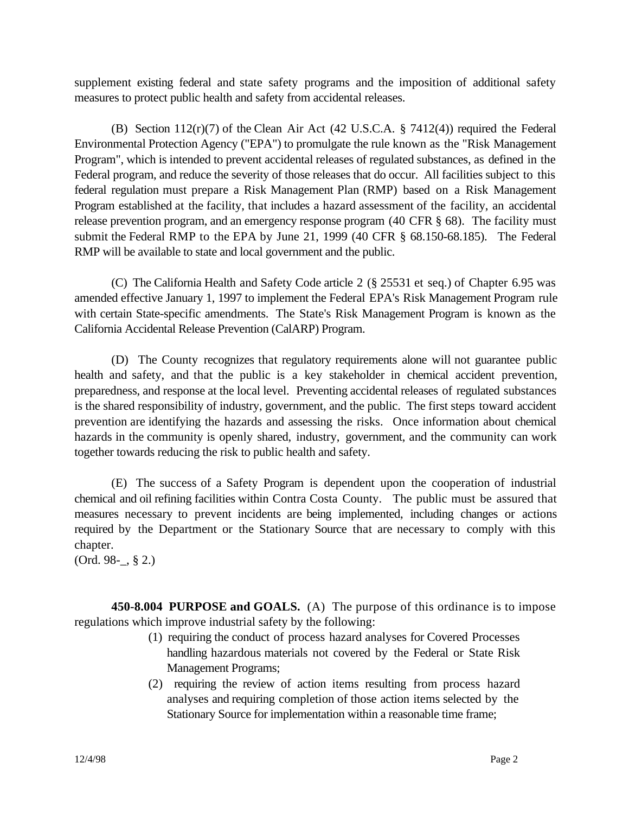supplement existing federal and state safety programs and the imposition of additional safety measures to protect public health and safety from accidental releases.

(B) Section  $112(r)(7)$  of the Clean Air Act (42 U.S.C.A. § 7412(4)) required the Federal Environmental Protection Agency ("EPA") to promulgate the rule known as the "Risk Management Program", which is intended to prevent accidental releases of regulated substances, as defined in the Federal program, and reduce the severity of those releases that do occur. All facilities subject to this federal regulation must prepare a Risk Management Plan (RMP) based on a Risk Management Program established at the facility, that includes a hazard assessment of the facility, an accidental release prevention program, and an emergency response program (40 CFR § 68). The facility must submit the Federal RMP to the EPA by June 21, 1999 (40 CFR § 68.150-68.185). The Federal RMP will be available to state and local government and the public.

(C) The California Health and Safety Code article 2 (§ 25531 et seq.) of Chapter 6.95 was amended effective January 1, 1997 to implement the Federal EPA's Risk Management Program rule with certain State-specific amendments. The State's Risk Management Program is known as the California Accidental Release Prevention (CalARP) Program.

(D) The County recognizes that regulatory requirements alone will not guarantee public health and safety, and that the public is a key stakeholder in chemical accident prevention, preparedness, and response at the local level. Preventing accidental releases of regulated substances is the shared responsibility of industry, government, and the public. The first steps toward accident prevention are identifying the hazards and assessing the risks. Once information about chemical hazards in the community is openly shared, industry, government, and the community can work together towards reducing the risk to public health and safety.

(E) The success of a Safety Program is dependent upon the cooperation of industrial chemical and oil refining facilities within Contra Costa County. The public must be assured that measures necessary to prevent incidents are being implemented, including changes or actions required by the Department or the Stationary Source that are necessary to comply with this chapter.

(Ord. 98-\_, § 2.)

**450-8.004 PURPOSE and GOALS.** (A) The purpose of this ordinance is to impose regulations which improve industrial safety by the following:

- (1) requiring the conduct of process hazard analyses for Covered Processes handling hazardous materials not covered by the Federal or State Risk Management Programs;
- (2) requiring the review of action items resulting from process hazard analyses and requiring completion of those action items selected by the Stationary Source for implementation within a reasonable time frame;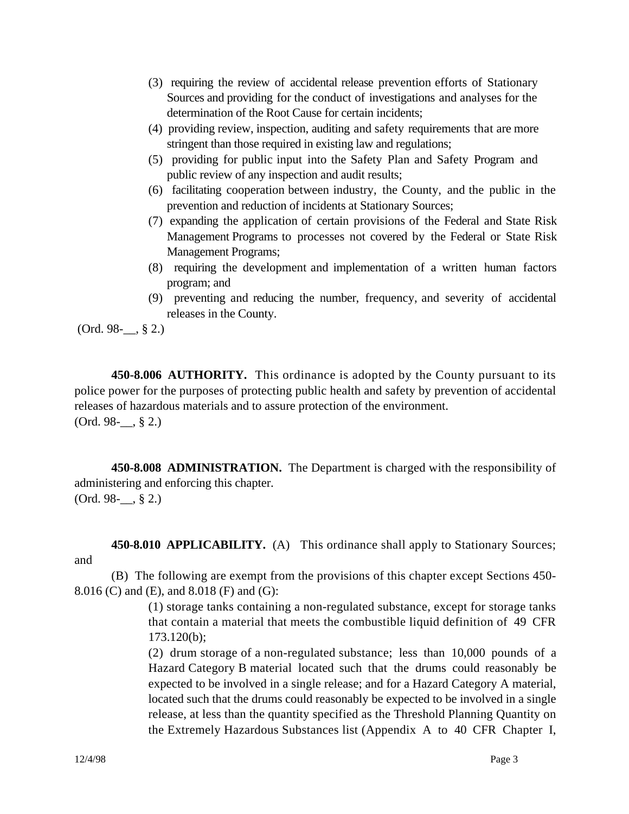- (3) requiring the review of accidental release prevention efforts of Stationary Sources and providing for the conduct of investigations and analyses for the determination of the Root Cause for certain incidents;
- (4) providing review, inspection, auditing and safety requirements that are more stringent than those required in existing law and regulations;
- (5) providing for public input into the Safety Plan and Safety Program and public review of any inspection and audit results;
- (6) facilitating cooperation between industry, the County, and the public in the prevention and reduction of incidents at Stationary Sources;
- (7) expanding the application of certain provisions of the Federal and State Risk Management Programs to processes not covered by the Federal or State Risk Management Programs;
- (8) requiring the development and implementation of a written human factors program; and
- (9) preventing and reducing the number, frequency, and severity of accidental releases in the County.

(Ord. 98-\_\_, § 2.)

**450-8.006 AUTHORITY.** This ordinance is adopted by the County pursuant to its police power for the purposes of protecting public health and safety by prevention of accidental releases of hazardous materials and to assure protection of the environment.  $(Ord. 98-$ , § 2.)

**450-8.008 ADMINISTRATION.** The Department is charged with the responsibility of administering and enforcing this chapter. (Ord. 98-\_\_, § 2.)

**450-8.010 APPLICABILITY.** (A)This ordinance shall apply to Stationary Sources; and

(B) The following are exempt from the provisions of this chapter except Sections 450- 8.016 (C) and (E), and 8.018 (F) and (G):

> (1) storage tanks containing a non-regulated substance, except for storage tanks that contain a material that meets the combustible liquid definition of 49 CFR 173.120(b);

> (2) drum storage of a non-regulated substance; less than 10,000 pounds of a Hazard Category B material located such that the drums could reasonably be expected to be involved in a single release; and for a Hazard Category A material, located such that the drums could reasonably be expected to be involved in a single release, at less than the quantity specified as the Threshold Planning Quantity on the Extremely Hazardous Substances list (Appendix A to 40 CFR Chapter I,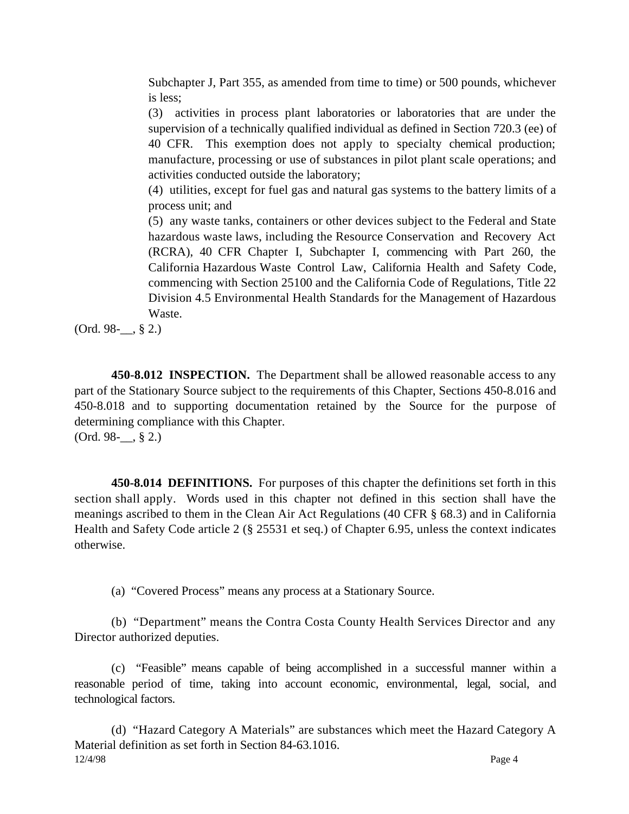Subchapter J, Part 355, as amended from time to time) or 500 pounds, whichever is less;

(3) activities in process plant laboratories or laboratories that are under the supervision of a technically qualified individual as defined in Section 720.3 (ee) of 40 CFR. This exemption does not apply to specialty chemical production; manufacture, processing or use of substances in pilot plant scale operations; and activities conducted outside the laboratory;

(4) utilities, except for fuel gas and natural gas systems to the battery limits of a process unit; and

(5) any waste tanks, containers or other devices subject to the Federal and State hazardous waste laws, including the Resource Conservation and Recovery Act (RCRA), 40 CFR Chapter I, Subchapter I, commencing with Part 260, the California Hazardous Waste Control Law, California Health and Safety Code, commencing with Section 25100 and the California Code of Regulations, Title 22 Division 4.5 Environmental Health Standards for the Management of Hazardous Waste.

 $(Ord. 98-$ , § 2.)

**450-8.012 INSPECTION.** The Department shall be allowed reasonable access to any part of the Stationary Source subject to the requirements of this Chapter, Sections 450-8.016 and 450-8.018 and to supporting documentation retained by the Source for the purpose of determining compliance with this Chapter.  $(Ord. 98-$ , § 2.)

**450-8.014 DEFINITIONS.** For purposes of this chapter the definitions set forth in this section shall apply. Words used in this chapter not defined in this section shall have the meanings ascribed to them in the Clean Air Act Regulations (40 CFR § 68.3) and in California Health and Safety Code article 2 (§ 25531 et seq.) of Chapter 6.95, unless the context indicates otherwise.

(a) "Covered Process" means any process at a Stationary Source.

(b) "Department" means the Contra Costa County Health Services Director and any Director authorized deputies.

(c) "Feasible" means capable of being accomplished in a successful manner within a reasonable period of time, taking into account economic, environmental, legal, social, and technological factors.

12/4/98 Page 4 (d) "Hazard Category A Materials" are substances which meet the Hazard Category A Material definition as set forth in Section 84-63.1016.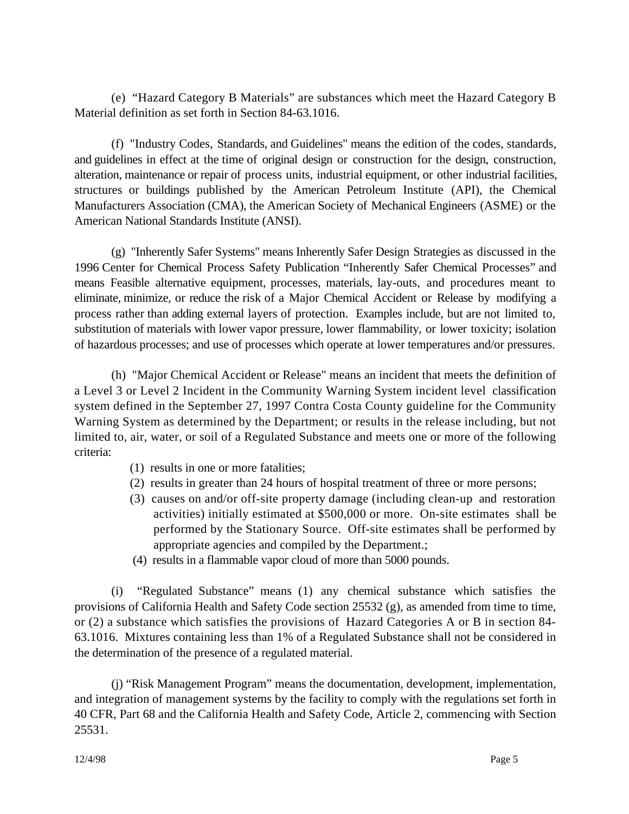(e) "Hazard Category B Materials" are substances which meet the Hazard Category B Material definition as set forth in Section 84-63.1016.

(f) "Industry Codes, Standards, and Guidelines" means the edition of the codes, standards, and guidelines in effect at the time of original design or construction for the design, construction, alteration, maintenance or repair of process units, industrial equipment, or other industrial facilities, structures or buildings published by the American Petroleum Institute (API), the Chemical Manufacturers Association (CMA), the American Society of Mechanical Engineers (ASME) or the American National Standards Institute (ANSI).

(g) "Inherently Safer Systems" means Inherently Safer Design Strategies as discussed in the 1996 Center for Chemical Process Safety Publication "Inherently Safer Chemical Processes" and means Feasible alternative equipment, processes, materials, lay-outs, and procedures meant to eliminate, minimize, or reduce the risk of a Major Chemical Accident or Release by modifying a process rather than adding external layers of protection. Examples include, but are not limited to, substitution of materials with lower vapor pressure, lower flammability, or lower toxicity; isolation of hazardous processes; and use of processes which operate at lower temperatures and/or pressures.

(h) "Major Chemical Accident or Release" means an incident that meets the definition of a Level 3 or Level 2 Incident in the Community Warning System incident level classification system defined in the September 27, 1997 Contra Costa County guideline for the Community Warning System as determined by the Department; or results in the release including, but not limited to, air, water, or soil of a Regulated Substance and meets one or more of the following criteria:

- (1) results in one or more fatalities;
- (2) results in greater than 24 hours of hospital treatment of three or more persons;
- (3) causes on and/or off-site property damage (including clean-up and restoration activities) initially estimated at \$500,000 or more. On-site estimates shall be performed by the Stationary Source. Off-site estimates shall be performed by appropriate agencies and compiled by the Department.;
- (4) results in a flammable vapor cloud of more than 5000 pounds.

(i) "Regulated Substance" means (1) any chemical substance which satisfies the provisions of California Health and Safety Code section 25532 (g), as amended from time to time, or (2) a substance which satisfies the provisions of Hazard Categories A or B in section 84- 63.1016. Mixtures containing less than 1% of a Regulated Substance shall not be considered in the determination of the presence of a regulated material.

(j) "Risk Management Program" means the documentation, development, implementation, and integration of management systems by the facility to comply with the regulations set forth in 40 CFR, Part 68 and the California Health and Safety Code, Article 2, commencing with Section 25531.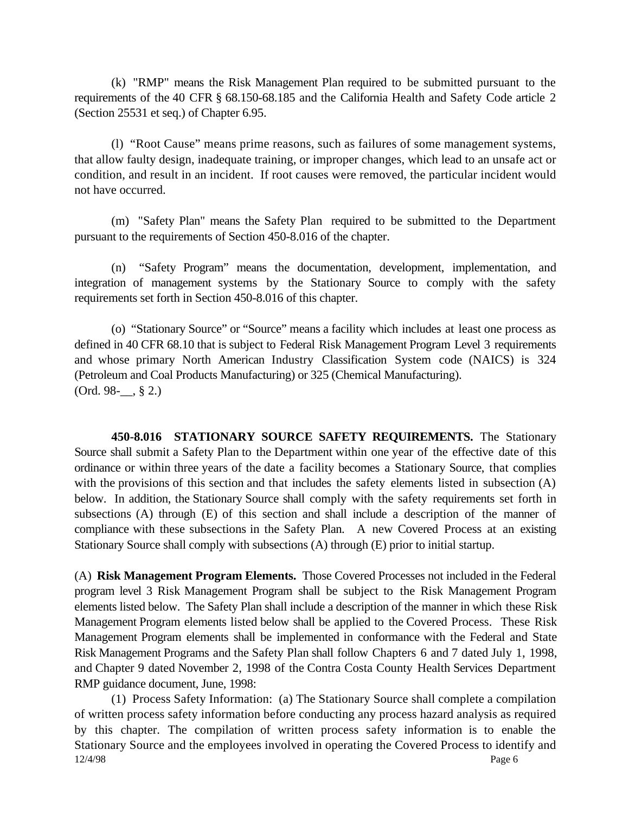(k) "RMP" means the Risk Management Plan required to be submitted pursuant to the requirements of the 40 CFR § 68.150-68.185 and the California Health and Safety Code article 2 (Section 25531 et seq.) of Chapter 6.95.

(l) "Root Cause" means prime reasons, such as failures of some management systems, that allow faulty design, inadequate training, or improper changes, which lead to an unsafe act or condition, and result in an incident. If root causes were removed, the particular incident would not have occurred.

(m) "Safety Plan" means the Safety Plan required to be submitted to the Department pursuant to the requirements of Section 450-8.016 of the chapter.

(n) "Safety Program" means the documentation, development, implementation, and integration of management systems by the Stationary Source to comply with the safety requirements set forth in Section 450-8.016 of this chapter.

(o) "Stationary Source" or "Source" means a facility which includes at least one process as defined in 40 CFR 68.10 that is subject to Federal Risk Management Program Level 3 requirements and whose primary North American Industry Classification System code (NAICS) is 324 (Petroleum and Coal Products Manufacturing) or 325 (Chemical Manufacturing).  $(Ord. 98-$ , § 2.)

**450-8.016 STATIONARY SOURCE SAFETY REQUIREMENTS.** The Stationary Source shall submit a Safety Plan to the Department within one year of the effective date of this ordinance or within three years of the date a facility becomes a Stationary Source, that complies with the provisions of this section and that includes the safety elements listed in subsection (A) below. In addition, the Stationary Source shall comply with the safety requirements set forth in subsections (A) through (E) of this section and shall include a description of the manner of compliance with these subsections in the Safety Plan. A new Covered Process at an existing Stationary Source shall comply with subsections (A) through (E) prior to initial startup.

(A) **Risk Management Program Elements.** Those Covered Processes not included in the Federal program level 3 Risk Management Program shall be subject to the Risk Management Program elements listed below. The Safety Plan shall include a description of the manner in which these Risk Management Program elements listed below shall be applied to the Covered Process. These Risk Management Program elements shall be implemented in conformance with the Federal and State Risk Management Programs and the Safety Plan shall follow Chapters 6 and 7 dated July 1, 1998, and Chapter 9 dated November 2, 1998 of the Contra Costa County Health Services Department RMP guidance document, June, 1998:

12/4/98 Page 6 (1) Process Safety Information: (a) The Stationary Source shall complete a compilation of written process safety information before conducting any process hazard analysis as required by this chapter. The compilation of written process safety information is to enable the Stationary Source and the employees involved in operating the Covered Process to identify and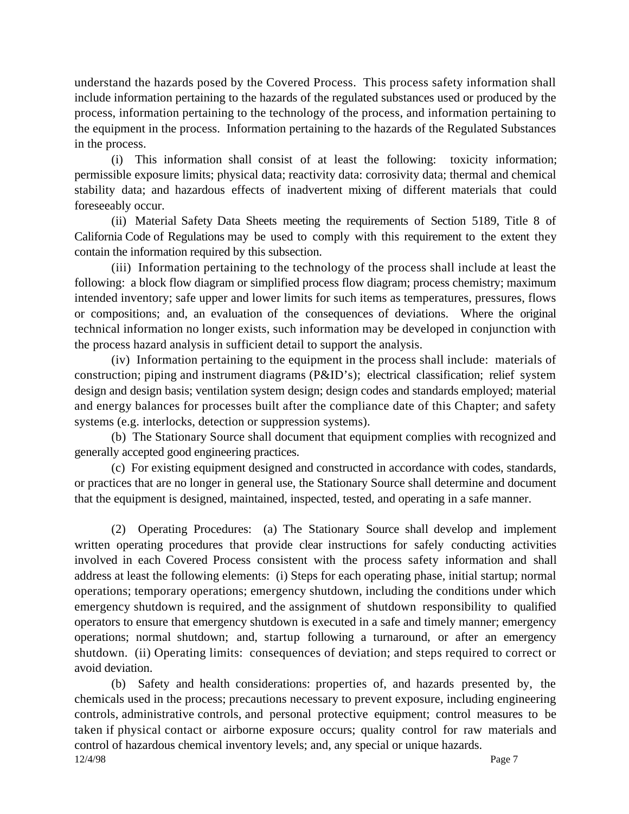understand the hazards posed by the Covered Process. This process safety information shall include information pertaining to the hazards of the regulated substances used or produced by the process, information pertaining to the technology of the process, and information pertaining to the equipment in the process. Information pertaining to the hazards of the Regulated Substances in the process.

(i) This information shall consist of at least the following: toxicity information; permissible exposure limits; physical data; reactivity data: corrosivity data; thermal and chemical stability data; and hazardous effects of inadvertent mixing of different materials that could foreseeably occur.

(ii) Material Safety Data Sheets meeting the requirements of Section 5189, Title 8 of California Code of Regulations may be used to comply with this requirement to the extent they contain the information required by this subsection.

(iii) Information pertaining to the technology of the process shall include at least the following: a block flow diagram or simplified process flow diagram; process chemistry; maximum intended inventory; safe upper and lower limits for such items as temperatures, pressures, flows or compositions; and, an evaluation of the consequences of deviations. Where the original technical information no longer exists, such information may be developed in conjunction with the process hazard analysis in sufficient detail to support the analysis.

(iv) Information pertaining to the equipment in the process shall include: materials of construction; piping and instrument diagrams (P&ID's); electrical classification; relief system design and design basis; ventilation system design; design codes and standards employed; material and energy balances for processes built after the compliance date of this Chapter; and safety systems (e.g. interlocks, detection or suppression systems).

(b) The Stationary Source shall document that equipment complies with recognized and generally accepted good engineering practices.

(c) For existing equipment designed and constructed in accordance with codes, standards, or practices that are no longer in general use, the Stationary Source shall determine and document that the equipment is designed, maintained, inspected, tested, and operating in a safe manner.

(2) Operating Procedures: (a) The Stationary Source shall develop and implement written operating procedures that provide clear instructions for safely conducting activities involved in each Covered Process consistent with the process safety information and shall address at least the following elements: (i) Steps for each operating phase, initial startup; normal operations; temporary operations; emergency shutdown, including the conditions under which emergency shutdown is required, and the assignment of shutdown responsibility to qualified operators to ensure that emergency shutdown is executed in a safe and timely manner; emergency operations; normal shutdown; and, startup following a turnaround, or after an emergency shutdown. (ii) Operating limits: consequences of deviation; and steps required to correct or avoid deviation.

 $12/4/98$  Page 7 (b) Safety and health considerations: properties of, and hazards presented by, the chemicals used in the process; precautions necessary to prevent exposure, including engineering controls, administrative controls, and personal protective equipment; control measures to be taken if physical contact or airborne exposure occurs; quality control for raw materials and control of hazardous chemical inventory levels; and, any special or unique hazards.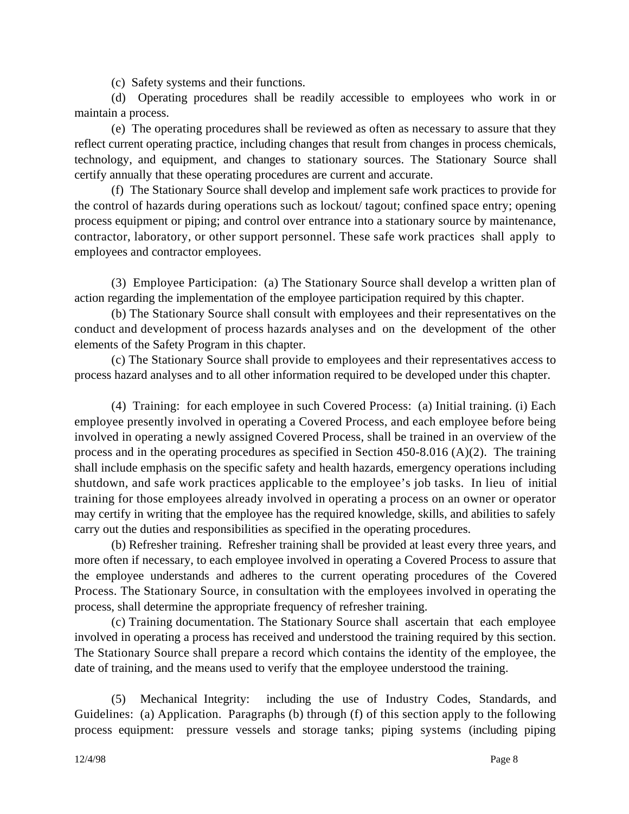(c) Safety systems and their functions.

(d) Operating procedures shall be readily accessible to employees who work in or maintain a process.

(e) The operating procedures shall be reviewed as often as necessary to assure that they reflect current operating practice, including changes that result from changes in process chemicals, technology, and equipment, and changes to stationary sources. The Stationary Source shall certify annually that these operating procedures are current and accurate.

(f) The Stationary Source shall develop and implement safe work practices to provide for the control of hazards during operations such as lockout/ tagout; confined space entry; opening process equipment or piping; and control over entrance into a stationary source by maintenance, contractor, laboratory, or other support personnel. These safe work practices shall apply to employees and contractor employees.

(3) Employee Participation: (a) The Stationary Source shall develop a written plan of action regarding the implementation of the employee participation required by this chapter.

(b) The Stationary Source shall consult with employees and their representatives on the conduct and development of process hazards analyses and on the development of the other elements of the Safety Program in this chapter.

(c) The Stationary Source shall provide to employees and their representatives access to process hazard analyses and to all other information required to be developed under this chapter.

(4) Training: for each employee in such Covered Process: (a) Initial training. (i) Each employee presently involved in operating a Covered Process, and each employee before being involved in operating a newly assigned Covered Process, shall be trained in an overview of the process and in the operating procedures as specified in Section 450-8.016 (A)(2). The training shall include emphasis on the specific safety and health hazards, emergency operations including shutdown, and safe work practices applicable to the employee's job tasks. In lieu of initial training for those employees already involved in operating a process on an owner or operator may certify in writing that the employee has the required knowledge, skills, and abilities to safely carry out the duties and responsibilities as specified in the operating procedures.

(b) Refresher training. Refresher training shall be provided at least every three years, and more often if necessary, to each employee involved in operating a Covered Process to assure that the employee understands and adheres to the current operating procedures of the Covered Process. The Stationary Source, in consultation with the employees involved in operating the process, shall determine the appropriate frequency of refresher training.

(c) Training documentation. The Stationary Source shall ascertain that each employee involved in operating a process has received and understood the training required by this section. The Stationary Source shall prepare a record which contains the identity of the employee, the date of training, and the means used to verify that the employee understood the training.

(5) Mechanical Integrity: including the use of Industry Codes, Standards, and Guidelines: (a) Application. Paragraphs (b) through (f) of this section apply to the following process equipment: pressure vessels and storage tanks; piping systems (including piping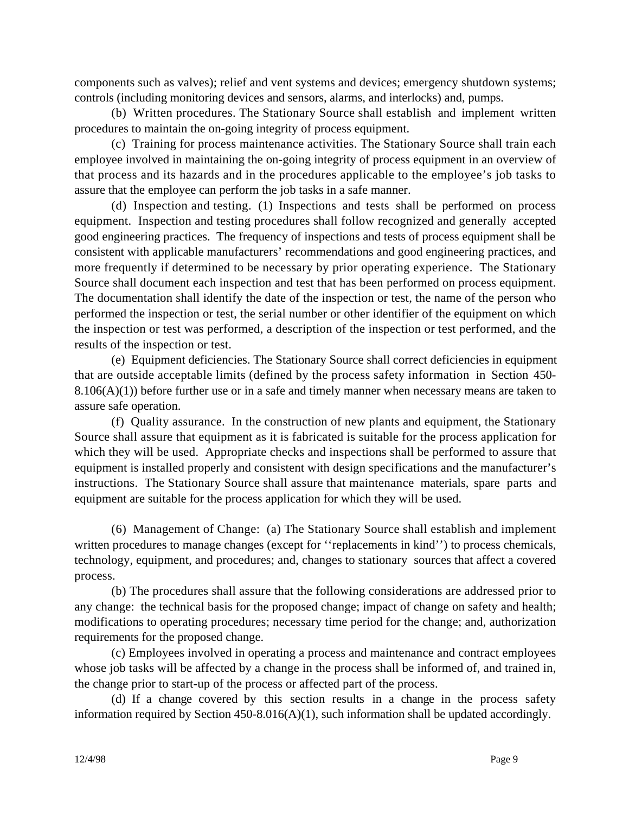components such as valves); relief and vent systems and devices; emergency shutdown systems; controls (including monitoring devices and sensors, alarms, and interlocks) and, pumps.

(b) Written procedures. The Stationary Source shall establish and implement written procedures to maintain the on-going integrity of process equipment.

(c) Training for process maintenance activities. The Stationary Source shall train each employee involved in maintaining the on-going integrity of process equipment in an overview of that process and its hazards and in the procedures applicable to the employee's job tasks to assure that the employee can perform the job tasks in a safe manner.

(d) Inspection and testing. (1) Inspections and tests shall be performed on process equipment. Inspection and testing procedures shall follow recognized and generally accepted good engineering practices. The frequency of inspections and tests of process equipment shall be consistent with applicable manufacturers' recommendations and good engineering practices, and more frequently if determined to be necessary by prior operating experience. The Stationary Source shall document each inspection and test that has been performed on process equipment. The documentation shall identify the date of the inspection or test, the name of the person who performed the inspection or test, the serial number or other identifier of the equipment on which the inspection or test was performed, a description of the inspection or test performed, and the results of the inspection or test.

(e) Equipment deficiencies. The Stationary Source shall correct deficiencies in equipment that are outside acceptable limits (defined by the process safety information in Section 450-  $8.106(A)(1)$ ) before further use or in a safe and timely manner when necessary means are taken to assure safe operation.

(f) Quality assurance. In the construction of new plants and equipment, the Stationary Source shall assure that equipment as it is fabricated is suitable for the process application for which they will be used. Appropriate checks and inspections shall be performed to assure that equipment is installed properly and consistent with design specifications and the manufacturer's instructions. The Stationary Source shall assure that maintenance materials, spare parts and equipment are suitable for the process application for which they will be used.

(6) Management of Change: (a) The Stationary Source shall establish and implement written procedures to manage changes (except for ''replacements in kind'') to process chemicals, technology, equipment, and procedures; and, changes to stationary sources that affect a covered process.

(b) The procedures shall assure that the following considerations are addressed prior to any change: the technical basis for the proposed change; impact of change on safety and health; modifications to operating procedures; necessary time period for the change; and, authorization requirements for the proposed change.

(c) Employees involved in operating a process and maintenance and contract employees whose job tasks will be affected by a change in the process shall be informed of, and trained in, the change prior to start-up of the process or affected part of the process.

(d) If a change covered by this section results in a change in the process safety information required by Section 450-8.016(A)(1), such information shall be updated accordingly.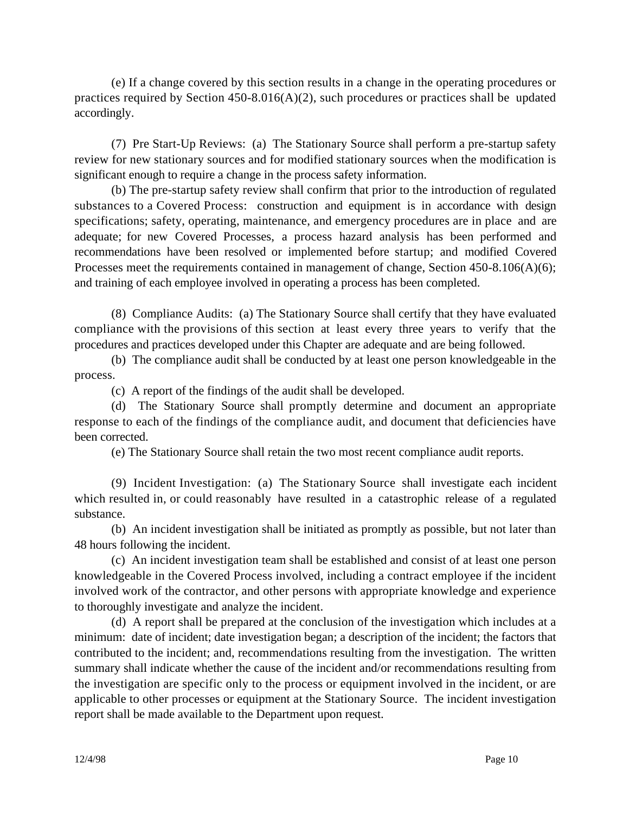(e) If a change covered by this section results in a change in the operating procedures or practices required by Section  $450-8.016(A)(2)$ , such procedures or practices shall be updated accordingly.

(7) Pre Start-Up Reviews: (a) The Stationary Source shall perform a pre-startup safety review for new stationary sources and for modified stationary sources when the modification is significant enough to require a change in the process safety information.

(b) The pre-startup safety review shall confirm that prior to the introduction of regulated substances to a Covered Process: construction and equipment is in accordance with design specifications; safety, operating, maintenance, and emergency procedures are in place and are adequate; for new Covered Processes, a process hazard analysis has been performed and recommendations have been resolved or implemented before startup; and modified Covered Processes meet the requirements contained in management of change, Section 450-8.106(A)(6); and training of each employee involved in operating a process has been completed.

(8) Compliance Audits: (a) The Stationary Source shall certify that they have evaluated compliance with the provisions of this section at least every three years to verify that the procedures and practices developed under this Chapter are adequate and are being followed.

(b) The compliance audit shall be conducted by at least one person knowledgeable in the process.

(c) A report of the findings of the audit shall be developed.

(d) The Stationary Source shall promptly determine and document an appropriate response to each of the findings of the compliance audit, and document that deficiencies have been corrected.

(e) The Stationary Source shall retain the two most recent compliance audit reports.

(9) Incident Investigation: (a) The Stationary Source shall investigate each incident which resulted in, or could reasonably have resulted in a catastrophic release of a regulated substance.

(b) An incident investigation shall be initiated as promptly as possible, but not later than 48 hours following the incident.

(c) An incident investigation team shall be established and consist of at least one person knowledgeable in the Covered Process involved, including a contract employee if the incident involved work of the contractor, and other persons with appropriate knowledge and experience to thoroughly investigate and analyze the incident.

(d) A report shall be prepared at the conclusion of the investigation which includes at a minimum: date of incident; date investigation began; a description of the incident; the factors that contributed to the incident; and, recommendations resulting from the investigation. The written summary shall indicate whether the cause of the incident and/or recommendations resulting from the investigation are specific only to the process or equipment involved in the incident, or are applicable to other processes or equipment at the Stationary Source. The incident investigation report shall be made available to the Department upon request.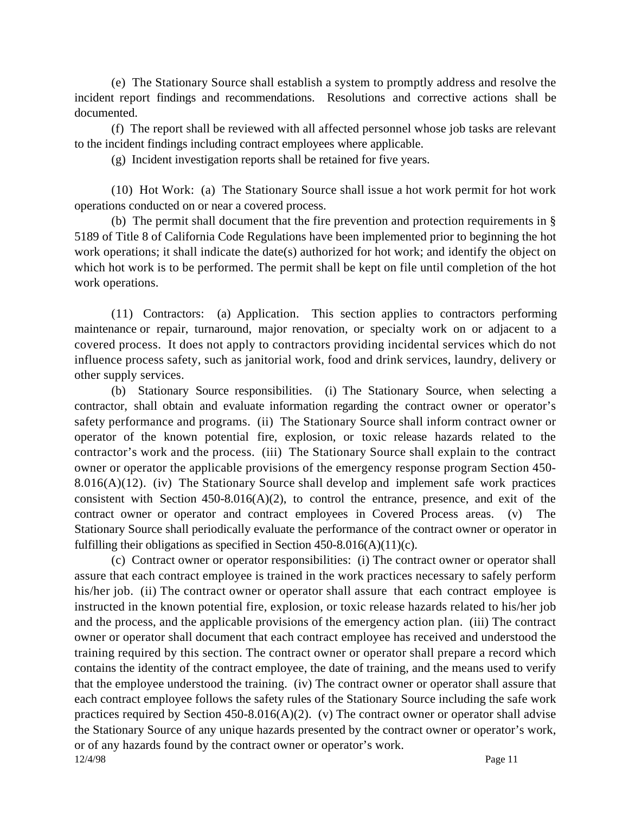(e) The Stationary Source shall establish a system to promptly address and resolve the incident report findings and recommendations. Resolutions and corrective actions shall be documented.

(f) The report shall be reviewed with all affected personnel whose job tasks are relevant to the incident findings including contract employees where applicable.

(g) Incident investigation reports shall be retained for five years.

(10) Hot Work: (a) The Stationary Source shall issue a hot work permit for hot work operations conducted on or near a covered process.

(b) The permit shall document that the fire prevention and protection requirements in § 5189 of Title 8 of California Code Regulations have been implemented prior to beginning the hot work operations; it shall indicate the date(s) authorized for hot work; and identify the object on which hot work is to be performed. The permit shall be kept on file until completion of the hot work operations.

(11) Contractors: (a) Application. This section applies to contractors performing maintenance or repair, turnaround, major renovation, or specialty work on or adjacent to a covered process. It does not apply to contractors providing incidental services which do not influence process safety, such as janitorial work, food and drink services, laundry, delivery or other supply services.

(b) Stationary Source responsibilities. (i) The Stationary Source, when selecting a contractor, shall obtain and evaluate information regarding the contract owner or operator's safety performance and programs. (ii) The Stationary Source shall inform contract owner or operator of the known potential fire, explosion, or toxic release hazards related to the contractor's work and the process. (iii) The Stationary Source shall explain to the contract owner or operator the applicable provisions of the emergency response program Section 450- 8.016(A)(12). (iv) The Stationary Source shall develop and implement safe work practices consistent with Section  $450-8.016(A)(2)$ , to control the entrance, presence, and exit of the contract owner or operator and contract employees in Covered Process areas. (v) The Stationary Source shall periodically evaluate the performance of the contract owner or operator in fulfilling their obligations as specified in Section  $450-8.016(A)(11)(c)$ .

12/4/98 Page 11 (c) Contract owner or operator responsibilities: (i) The contract owner or operator shall assure that each contract employee is trained in the work practices necessary to safely perform his/her job. (ii) The contract owner or operator shall assure that each contract employee is instructed in the known potential fire, explosion, or toxic release hazards related to his/her job and the process, and the applicable provisions of the emergency action plan. (iii) The contract owner or operator shall document that each contract employee has received and understood the training required by this section. The contract owner or operator shall prepare a record which contains the identity of the contract employee, the date of training, and the means used to verify that the employee understood the training. (iv) The contract owner or operator shall assure that each contract employee follows the safety rules of the Stationary Source including the safe work practices required by Section 450-8.016(A)(2). (v) The contract owner or operator shall advise the Stationary Source of any unique hazards presented by the contract owner or operator's work, or of any hazards found by the contract owner or operator's work.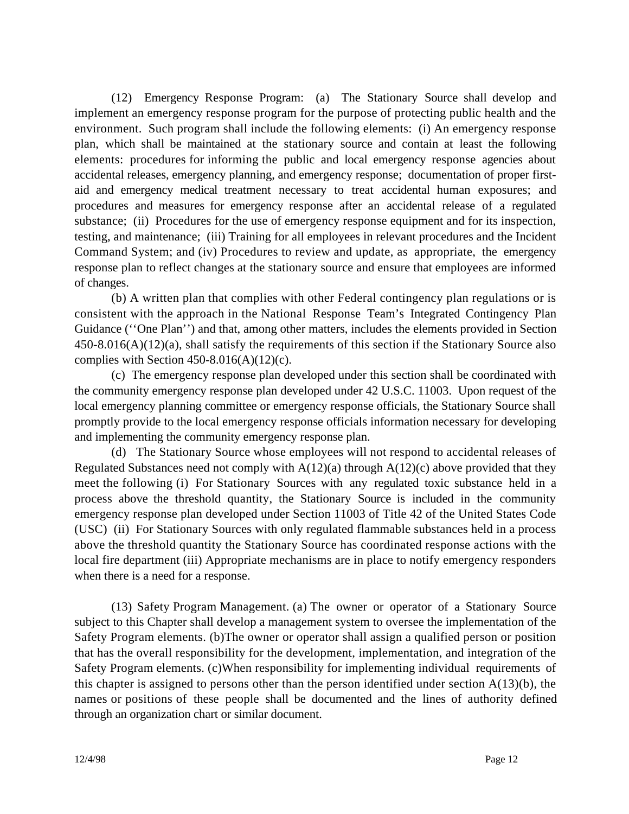(12) Emergency Response Program: (a) The Stationary Source shall develop and implement an emergency response program for the purpose of protecting public health and the environment. Such program shall include the following elements: (i) An emergency response plan, which shall be maintained at the stationary source and contain at least the following elements: procedures for informing the public and local emergency response agencies about accidental releases, emergency planning, and emergency response; documentation of proper firstaid and emergency medical treatment necessary to treat accidental human exposures; and procedures and measures for emergency response after an accidental release of a regulated substance; (ii) Procedures for the use of emergency response equipment and for its inspection, testing, and maintenance; (iii) Training for all employees in relevant procedures and the Incident Command System; and (iv) Procedures to review and update, as appropriate, the emergency response plan to reflect changes at the stationary source and ensure that employees are informed of changes.

(b) A written plan that complies with other Federal contingency plan regulations or is consistent with the approach in the National Response Team's Integrated Contingency Plan Guidance (''One Plan'') and that, among other matters, includes the elements provided in Section 450-8.016(A)(12)(a), shall satisfy the requirements of this section if the Stationary Source also complies with Section  $450-8.016(A)(12)(c)$ .

(c) The emergency response plan developed under this section shall be coordinated with the community emergency response plan developed under 42 U.S.C. 11003. Upon request of the local emergency planning committee or emergency response officials, the Stationary Source shall promptly provide to the local emergency response officials information necessary for developing and implementing the community emergency response plan.

(d) The Stationary Source whose employees will not respond to accidental releases of Regulated Substances need not comply with  $A(12)(a)$  through  $A(12)(c)$  above provided that they meet the following (i) For Stationary Sources with any regulated toxic substance held in a process above the threshold quantity, the Stationary Source is included in the community emergency response plan developed under Section 11003 of Title 42 of the United States Code (USC) (ii) For Stationary Sources with only regulated flammable substances held in a process above the threshold quantity the Stationary Source has coordinated response actions with the local fire department (iii) Appropriate mechanisms are in place to notify emergency responders when there is a need for a response.

(13) Safety Program Management. (a) The owner or operator of a Stationary Source subject to this Chapter shall develop a management system to oversee the implementation of the Safety Program elements. (b)The owner or operator shall assign a qualified person or position that has the overall responsibility for the development, implementation, and integration of the Safety Program elements. (c)When responsibility for implementing individual requirements of this chapter is assigned to persons other than the person identified under section  $A(13)(b)$ , the names or positions of these people shall be documented and the lines of authority defined through an organization chart or similar document.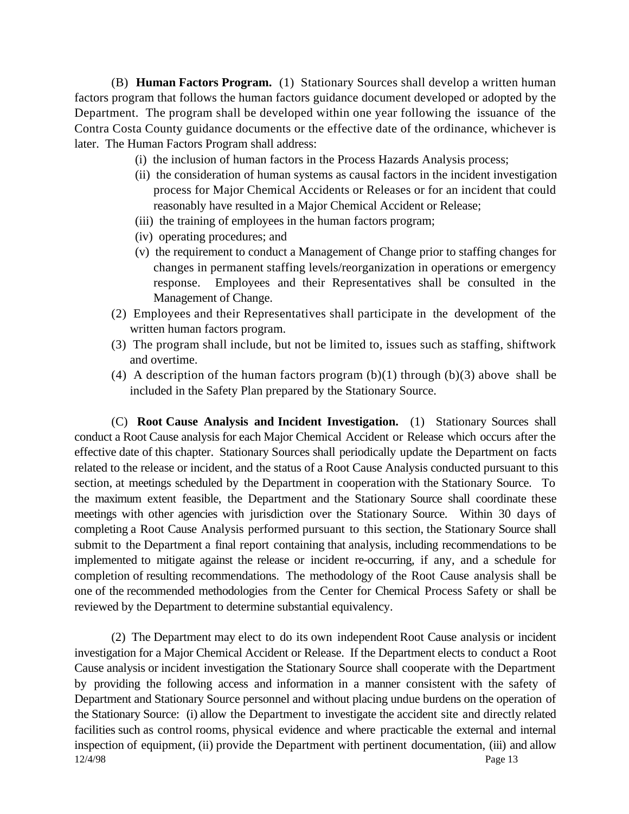(B) **Human Factors Program.** (1) Stationary Sources shall develop a written human factors program that follows the human factors guidance document developed or adopted by the Department. The program shall be developed within one year following the issuance of the Contra Costa County guidance documents or the effective date of the ordinance, whichever is later. The Human Factors Program shall address:

- (i) the inclusion of human factors in the Process Hazards Analysis process;
- (ii) the consideration of human systems as causal factors in the incident investigation process for Major Chemical Accidents or Releases or for an incident that could reasonably have resulted in a Major Chemical Accident or Release;
- (iii) the training of employees in the human factors program;
- (iv) operating procedures; and
- (v) the requirement to conduct a Management of Change prior to staffing changes for changes in permanent staffing levels/reorganization in operations or emergency response. Employees and their Representatives shall be consulted in the Management of Change.
- (2) Employees and their Representatives shall participate in the development of the written human factors program.
- (3) The program shall include, but not be limited to, issues such as staffing, shiftwork and overtime.
- (4) A description of the human factors program  $(b)(1)$  through  $(b)(3)$  above shall be included in the Safety Plan prepared by the Stationary Source.

(C) **Root Cause Analysis and Incident Investigation.** (1) Stationary Sources shall conduct a Root Cause analysis for each Major Chemical Accident or Release which occurs after the effective date of this chapter. Stationary Sources shall periodically update the Department on facts related to the release or incident, and the status of a Root Cause Analysis conducted pursuant to this section, at meetings scheduled by the Department in cooperation with the Stationary Source. To the maximum extent feasible, the Department and the Stationary Source shall coordinate these meetings with other agencies with jurisdiction over the Stationary Source. Within 30 days of completing a Root Cause Analysis performed pursuant to this section, the Stationary Source shall submit to the Department a final report containing that analysis, including recommendations to be implemented to mitigate against the release or incident re-occurring, if any, and a schedule for completion of resulting recommendations. The methodology of the Root Cause analysis shall be one of the recommended methodologies from the Center for Chemical Process Safety or shall be reviewed by the Department to determine substantial equivalency.

12/4/98 Page 13 (2) The Department may elect to do its own independent Root Cause analysis or incident investigation for a Major Chemical Accident or Release. If the Department elects to conduct a Root Cause analysis or incident investigation the Stationary Source shall cooperate with the Department by providing the following access and information in a manner consistent with the safety of Department and Stationary Source personnel and without placing undue burdens on the operation of the Stationary Source: (i) allow the Department to investigate the accident site and directly related facilities such as control rooms, physical evidence and where practicable the external and internal inspection of equipment, (ii) provide the Department with pertinent documentation, (iii) and allow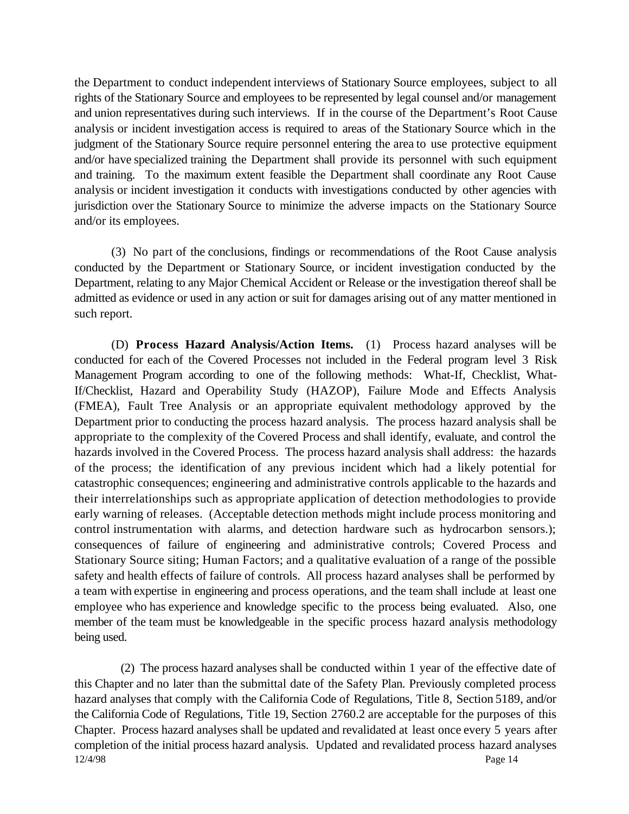the Department to conduct independent interviews of Stationary Source employees, subject to all rights of the Stationary Source and employees to be represented by legal counsel and/or management and union representatives during such interviews. If in the course of the Department's Root Cause analysis or incident investigation access is required to areas of the Stationary Source which in the judgment of the Stationary Source require personnel entering the area to use protective equipment and/or have specialized training the Department shall provide its personnel with such equipment and training. To the maximum extent feasible the Department shall coordinate any Root Cause analysis or incident investigation it conducts with investigations conducted by other agencies with jurisdiction over the Stationary Source to minimize the adverse impacts on the Stationary Source and/or its employees.

(3) No part of the conclusions, findings or recommendations of the Root Cause analysis conducted by the Department or Stationary Source, or incident investigation conducted by the Department, relating to any Major Chemical Accident or Release or the investigation thereof shall be admitted as evidence or used in any action or suit for damages arising out of any matter mentioned in such report.

(D) **Process Hazard Analysis/Action Items.** (1) Process hazard analyses will be conducted for each of the Covered Processes not included in the Federal program level 3 Risk Management Program according to one of the following methods: What-If, Checklist, What-If/Checklist, Hazard and Operability Study (HAZOP), Failure Mode and Effects Analysis (FMEA), Fault Tree Analysis or an appropriate equivalent methodology approved by the Department prior to conducting the process hazard analysis. The process hazard analysis shall be appropriate to the complexity of the Covered Process and shall identify, evaluate, and control the hazards involved in the Covered Process. The process hazard analysis shall address: the hazards of the process; the identification of any previous incident which had a likely potential for catastrophic consequences; engineering and administrative controls applicable to the hazards and their interrelationships such as appropriate application of detection methodologies to provide early warning of releases. (Acceptable detection methods might include process monitoring and control instrumentation with alarms, and detection hardware such as hydrocarbon sensors.); consequences of failure of engineering and administrative controls; Covered Process and Stationary Source siting; Human Factors; and a qualitative evaluation of a range of the possible safety and health effects of failure of controls. All process hazard analyses shall be performed by a team with expertise in engineering and process operations, and the team shall include at least one employee who has experience and knowledge specific to the process being evaluated. Also, one member of the team must be knowledgeable in the specific process hazard analysis methodology being used.

12/4/98 Page 14 (2) The process hazard analyses shall be conducted within 1 year of the effective date of this Chapter and no later than the submittal date of the Safety Plan. Previously completed process hazard analyses that comply with the California Code of Regulations, Title 8, Section 5189, and/or the California Code of Regulations, Title 19, Section 2760.2 are acceptable for the purposes of this Chapter. Process hazard analyses shall be updated and revalidated at least once every 5 years after completion of the initial process hazard analysis. Updated and revalidated process hazard analyses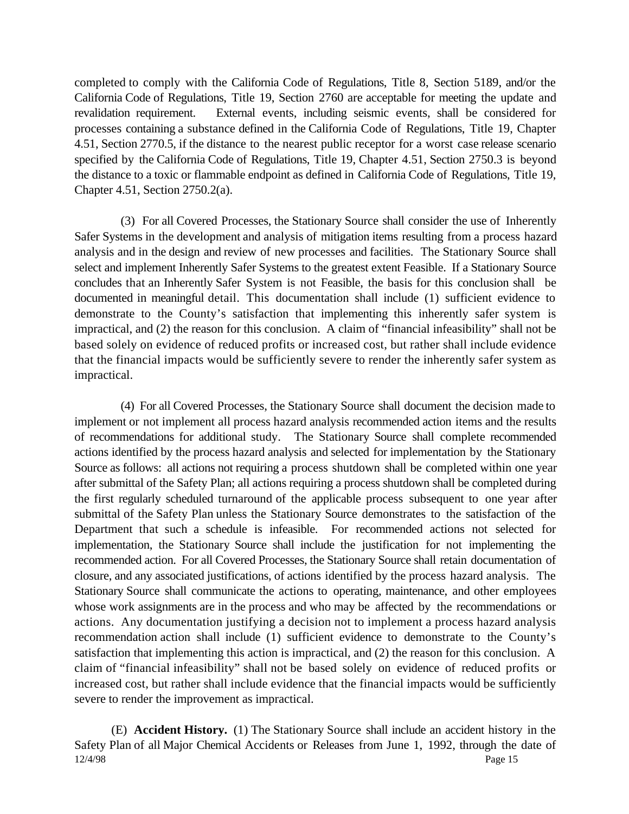completed to comply with the California Code of Regulations, Title 8, Section 5189, and/or the California Code of Regulations, Title 19, Section 2760 are acceptable for meeting the update and revalidation requirement. External events, including seismic events, shall be considered for processes containing a substance defined in the California Code of Regulations, Title 19, Chapter 4.51, Section 2770.5, if the distance to the nearest public receptor for a worst case release scenario specified by the California Code of Regulations, Title 19, Chapter 4.51, Section 2750.3 is beyond the distance to a toxic or flammable endpoint as defined in California Code of Regulations, Title 19, Chapter 4.51, Section 2750.2(a).

(3) For all Covered Processes, the Stationary Source shall consider the use of Inherently Safer Systems in the development and analysis of mitigation items resulting from a process hazard analysis and in the design and review of new processes and facilities. The Stationary Source shall select and implement Inherently Safer Systems to the greatest extent Feasible. If a Stationary Source concludes that an Inherently Safer System is not Feasible, the basis for this conclusion shall be documented in meaningful detail. This documentation shall include (1) sufficient evidence to demonstrate to the County's satisfaction that implementing this inherently safer system is impractical, and (2) the reason for this conclusion. A claim of "financial infeasibility" shall not be based solely on evidence of reduced profits or increased cost, but rather shall include evidence that the financial impacts would be sufficiently severe to render the inherently safer system as impractical.

(4) For all Covered Processes, the Stationary Source shall document the decision made to implement or not implement all process hazard analysis recommended action items and the results of recommendations for additional study. The Stationary Source shall complete recommended actions identified by the process hazard analysis and selected for implementation by the Stationary Source as follows: all actions not requiring a process shutdown shall be completed within one year after submittal of the Safety Plan; all actions requiring a process shutdown shall be completed during the first regularly scheduled turnaround of the applicable process subsequent to one year after submittal of the Safety Plan unless the Stationary Source demonstrates to the satisfaction of the Department that such a schedule is infeasible. For recommended actions not selected for implementation, the Stationary Source shall include the justification for not implementing the recommended action. For all Covered Processes, the Stationary Source shall retain documentation of closure, and any associated justifications, of actions identified by the process hazard analysis. The Stationary Source shall communicate the actions to operating, maintenance, and other employees whose work assignments are in the process and who may be affected by the recommendations or actions. Any documentation justifying a decision not to implement a process hazard analysis recommendation action shall include (1) sufficient evidence to demonstrate to the County's satisfaction that implementing this action is impractical, and (2) the reason for this conclusion. A claim of "financial infeasibility" shall not be based solely on evidence of reduced profits or increased cost, but rather shall include evidence that the financial impacts would be sufficiently severe to render the improvement as impractical.

12/4/98 Page 15 (E) **Accident History.** (1) The Stationary Source shall include an accident history in the Safety Plan of all Major Chemical Accidents or Releases from June 1, 1992, through the date of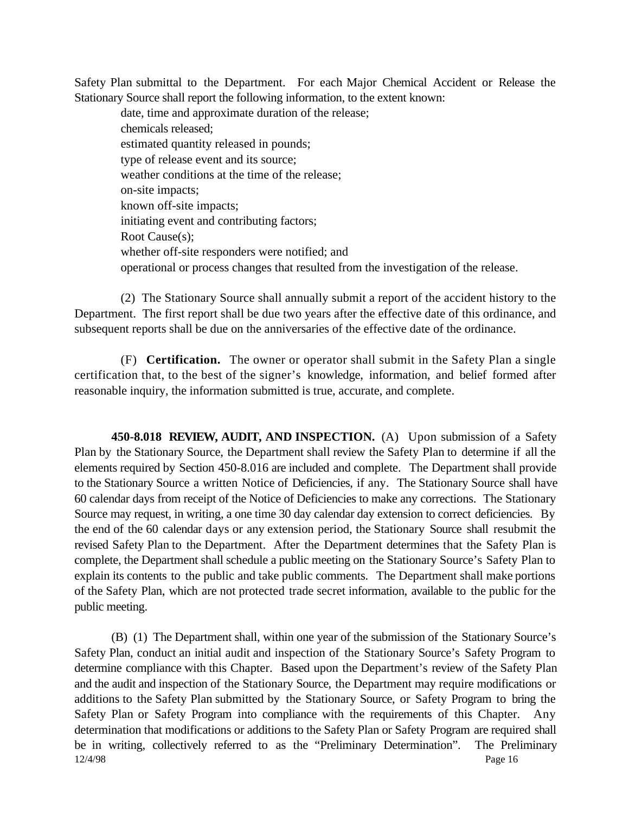Safety Plan submittal to the Department. For each Major Chemical Accident or Release the Stationary Source shall report the following information, to the extent known:

date, time and approximate duration of the release; chemicals released; estimated quantity released in pounds; type of release event and its source; weather conditions at the time of the release; on-site impacts; known off-site impacts; initiating event and contributing factors; Root Cause(s); whether off-site responders were notified; and operational or process changes that resulted from the investigation of the release.

(2) The Stationary Source shall annually submit a report of the accident history to the Department. The first report shall be due two years after the effective date of this ordinance, and subsequent reports shall be due on the anniversaries of the effective date of the ordinance.

(F) **Certification.** The owner or operator shall submit in the Safety Plan a single certification that, to the best of the signer's knowledge, information, and belief formed after reasonable inquiry, the information submitted is true, accurate, and complete.

**450-8.018 REVIEW, AUDIT, AND INSPECTION.** (A) Upon submission of a Safety Plan by the Stationary Source, the Department shall review the Safety Plan to determine if all the elements required by Section 450-8.016 are included and complete. The Department shall provide to the Stationary Source a written Notice of Deficiencies, if any. The Stationary Source shall have 60 calendar days from receipt of the Notice of Deficiencies to make any corrections. The Stationary Source may request, in writing, a one time 30 day calendar day extension to correct deficiencies. By the end of the 60 calendar days or any extension period, the Stationary Source shall resubmit the revised Safety Plan to the Department. After the Department determines that the Safety Plan is complete, the Department shall schedule a public meeting on the Stationary Source's Safety Plan to explain its contents to the public and take public comments. The Department shall make portions of the Safety Plan, which are not protected trade secret information, available to the public for the public meeting.

12/4/98 Page 16 (B) (1) The Department shall, within one year of the submission of the Stationary Source's Safety Plan, conduct an initial audit and inspection of the Stationary Source's Safety Program to determine compliance with this Chapter. Based upon the Department's review of the Safety Plan and the audit and inspection of the Stationary Source, the Department may require modifications or additions to the Safety Plan submitted by the Stationary Source, or Safety Program to bring the Safety Plan or Safety Program into compliance with the requirements of this Chapter. Any determination that modifications or additions to the Safety Plan or Safety Program are required shall be in writing, collectively referred to as the "Preliminary Determination". The Preliminary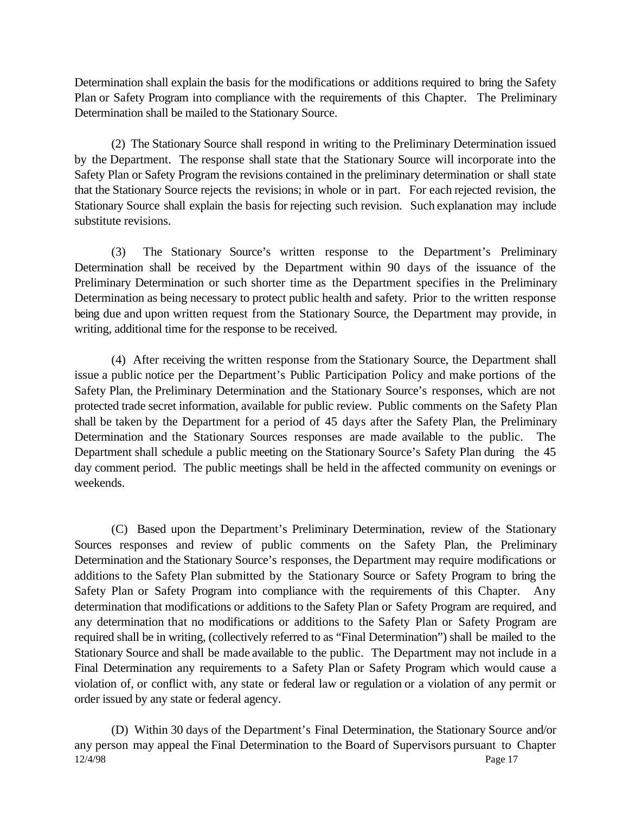Determination shall explain the basis for the modifications or additions required to bring the Safety Plan or Safety Program into compliance with the requirements of this Chapter. The Preliminary Determination shall be mailed to the Stationary Source.

(2) The Stationary Source shall respond in writing to the Preliminary Determination issued by the Department. The response shall state that the Stationary Source will incorporate into the Safety Plan or Safety Program the revisions contained in the preliminary determination or shall state that the Stationary Source rejects the revisions; in whole or in part. For each rejected revision, the Stationary Source shall explain the basis for rejecting such revision. Such explanation may include substitute revisions.

(3) The Stationary Source's written response to the Department's Preliminary Determination shall be received by the Department within 90 days of the issuance of the Preliminary Determination or such shorter time as the Department specifies in the Preliminary Determination as being necessary to protect public health and safety. Prior to the written response being due and upon written request from the Stationary Source, the Department may provide, in writing, additional time for the response to be received.

(4) After receiving the written response from the Stationary Source, the Department shall issue a public notice per the Department's Public Participation Policy and make portions of the Safety Plan, the Preliminary Determination and the Stationary Source's responses, which are not protected trade secret information, available for public review. Public comments on the Safety Plan shall be taken by the Department for a period of 45 days after the Safety Plan, the Preliminary Determination and the Stationary Sources responses are made available to the public. The Department shall schedule a public meeting on the Stationary Source's Safety Plan during the 45 day comment period. The public meetings shall be held in the affected community on evenings or weekends.

(C) Based upon the Department's Preliminary Determination, review of the Stationary Sources responses and review of public comments on the Safety Plan, the Preliminary Determination and the Stationary Source's responses, the Department may require modifications or additions to the Safety Plan submitted by the Stationary Source or Safety Program to bring the Safety Plan or Safety Program into compliance with the requirements of this Chapter. Any determination that modifications or additions to the Safety Plan or Safety Program are required, and any determination that no modifications or additions to the Safety Plan or Safety Program are required shall be in writing, (collectively referred to as "Final Determination") shall be mailed to the Stationary Source and shall be made available to the public. The Department may not include in a Final Determination any requirements to a Safety Plan or Safety Program which would cause a violation of, or conflict with, any state or federal law or regulation or a violation of any permit or order issued by any state or federal agency.

12/4/98 Page 17 (D) Within 30 days of the Department's Final Determination, the Stationary Source and/or any person may appeal the Final Determination to the Board of Supervisors pursuant to Chapter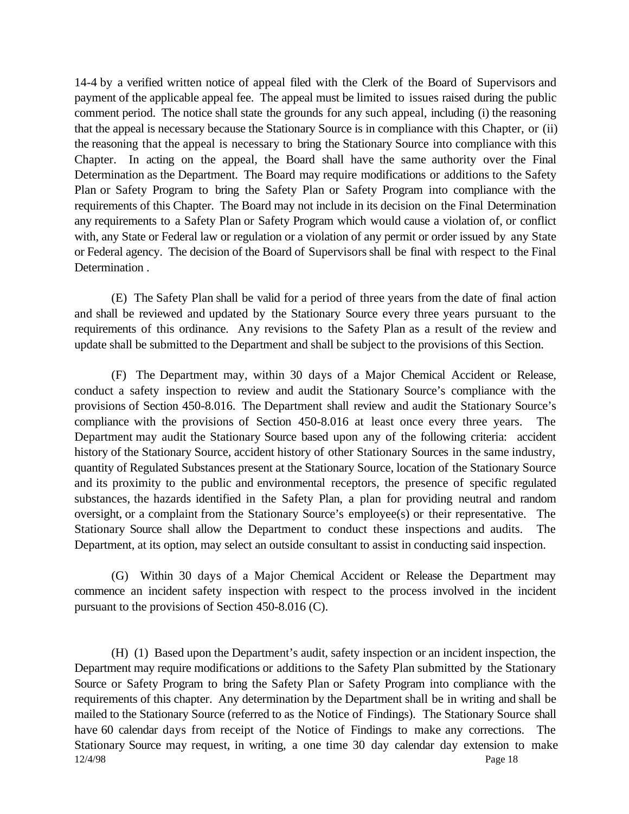14-4 by a verified written notice of appeal filed with the Clerk of the Board of Supervisors and payment of the applicable appeal fee. The appeal must be limited to issues raised during the public comment period. The notice shall state the grounds for any such appeal, including (i) the reasoning that the appeal is necessary because the Stationary Source is in compliance with this Chapter, or (ii) the reasoning that the appeal is necessary to bring the Stationary Source into compliance with this Chapter. In acting on the appeal, the Board shall have the same authority over the Final Determination as the Department. The Board may require modifications or additions to the Safety Plan or Safety Program to bring the Safety Plan or Safety Program into compliance with the requirements of this Chapter. The Board may not include in its decision on the Final Determination any requirements to a Safety Plan or Safety Program which would cause a violation of, or conflict with, any State or Federal law or regulation or a violation of any permit or order issued by any State or Federal agency. The decision of the Board of Supervisors shall be final with respect to the Final Determination .

(E) The Safety Plan shall be valid for a period of three years from the date of final action and shall be reviewed and updated by the Stationary Source every three years pursuant to the requirements of this ordinance. Any revisions to the Safety Plan as a result of the review and update shall be submitted to the Department and shall be subject to the provisions of this Section.

(F) The Department may, within 30 days of a Major Chemical Accident or Release, conduct a safety inspection to review and audit the Stationary Source's compliance with the provisions of Section 450-8.016. The Department shall review and audit the Stationary Source's compliance with the provisions of Section 450-8.016 at least once every three years. The Department may audit the Stationary Source based upon any of the following criteria: accident history of the Stationary Source, accident history of other Stationary Sources in the same industry, quantity of Regulated Substances present at the Stationary Source, location of the Stationary Source and its proximity to the public and environmental receptors, the presence of specific regulated substances, the hazards identified in the Safety Plan, a plan for providing neutral and random oversight, or a complaint from the Stationary Source's employee(s) or their representative. The Stationary Source shall allow the Department to conduct these inspections and audits. The Department, at its option, may select an outside consultant to assist in conducting said inspection.

(G) Within 30 days of a Major Chemical Accident or Release the Department may commence an incident safety inspection with respect to the process involved in the incident pursuant to the provisions of Section 450-8.016 (C).

12/4/98 Page 18 (H) (1) Based upon the Department's audit, safety inspection or an incident inspection, the Department may require modifications or additions to the Safety Plan submitted by the Stationary Source or Safety Program to bring the Safety Plan or Safety Program into compliance with the requirements of this chapter. Any determination by the Department shall be in writing and shall be mailed to the Stationary Source (referred to as the Notice of Findings). The Stationary Source shall have 60 calendar days from receipt of the Notice of Findings to make any corrections. The Stationary Source may request, in writing, a one time 30 day calendar day extension to make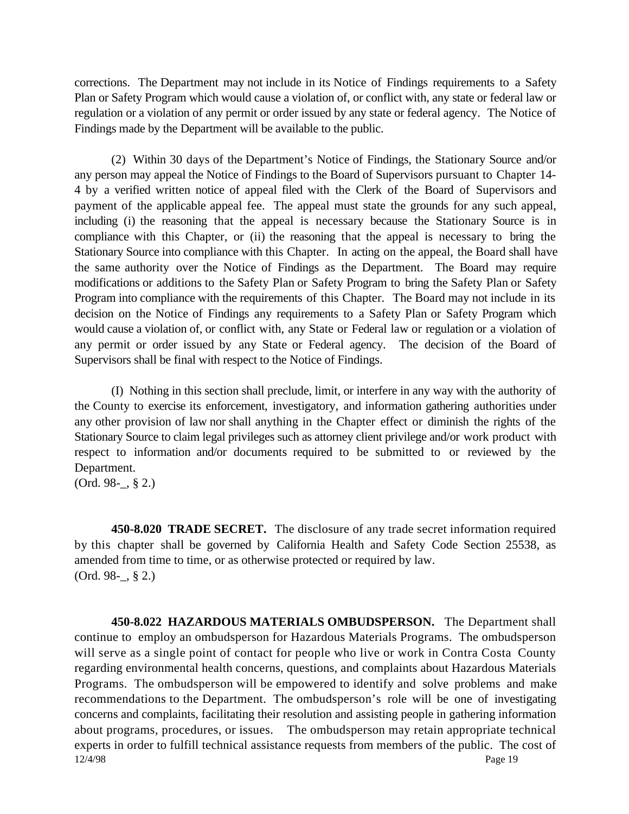corrections. The Department may not include in its Notice of Findings requirements to a Safety Plan or Safety Program which would cause a violation of, or conflict with, any state or federal law or regulation or a violation of any permit or order issued by any state or federal agency. The Notice of Findings made by the Department will be available to the public.

(2) Within 30 days of the Department's Notice of Findings, the Stationary Source and/or any person may appeal the Notice of Findings to the Board of Supervisors pursuant to Chapter 14- 4 by a verified written notice of appeal filed with the Clerk of the Board of Supervisors and payment of the applicable appeal fee. The appeal must state the grounds for any such appeal, including (i) the reasoning that the appeal is necessary because the Stationary Source is in compliance with this Chapter, or (ii) the reasoning that the appeal is necessary to bring the Stationary Source into compliance with this Chapter. In acting on the appeal, the Board shall have the same authority over the Notice of Findings as the Department. The Board may require modifications or additions to the Safety Plan or Safety Program to bring the Safety Plan or Safety Program into compliance with the requirements of this Chapter. The Board may not include in its decision on the Notice of Findings any requirements to a Safety Plan or Safety Program which would cause a violation of, or conflict with, any State or Federal law or regulation or a violation of any permit or order issued by any State or Federal agency. The decision of the Board of Supervisors shall be final with respect to the Notice of Findings.

(I) Nothing in this section shall preclude, limit, or interfere in any way with the authority of the County to exercise its enforcement, investigatory, and information gathering authorities under any other provision of law nor shall anything in the Chapter effect or diminish the rights of the Stationary Source to claim legal privileges such as attorney client privilege and/or work product with respect to information and/or documents required to be submitted to or reviewed by the Department.

(Ord. 98-\_, § 2.)

**450-8.020 TRADE SECRET.** The disclosure of any trade secret information required by this chapter shall be governed by California Health and Safety Code Section 25538, as amended from time to time, or as otherwise protected or required by law. (Ord. 98-\_, § 2.)

12/4/98 Page 19 **450-8.022 HAZARDOUS MATERIALS OMBUDSPERSON.** The Department shall continue to employ an ombudsperson for Hazardous Materials Programs. The ombudsperson will serve as a single point of contact for people who live or work in Contra Costa County regarding environmental health concerns, questions, and complaints about Hazardous Materials Programs. The ombudsperson will be empowered to identify and solve problems and make recommendations to the Department. The ombudsperson's role will be one of investigating concerns and complaints, facilitating their resolution and assisting people in gathering information about programs, procedures, or issues. The ombudsperson may retain appropriate technical experts in order to fulfill technical assistance requests from members of the public. The cost of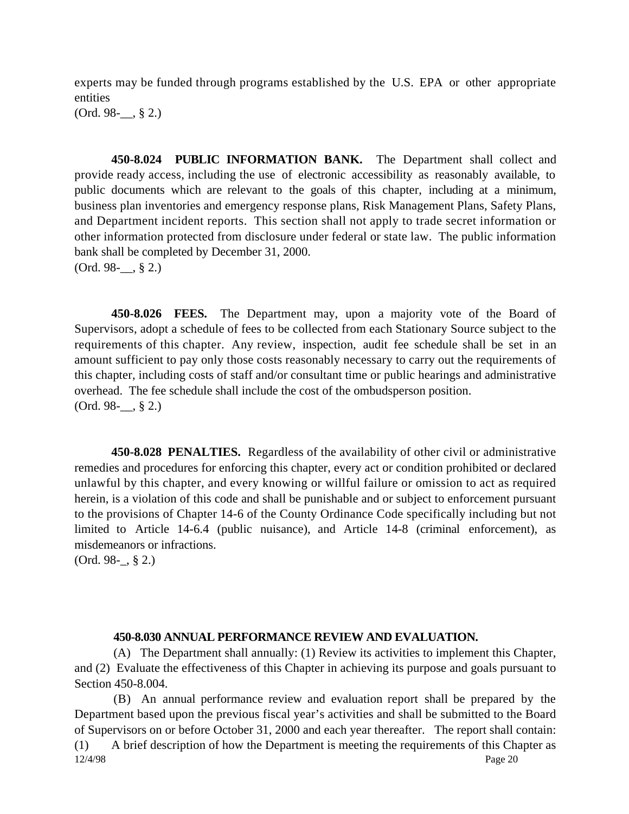experts may be funded through programs established by the U.S. EPA or other appropriate entities

 $(Ord. 98-$ , § 2.)

**450-8.024 PUBLIC INFORMATION BANK.** The Department shall collect and provide ready access, including the use of electronic accessibility as reasonably available, to public documents which are relevant to the goals of this chapter, including at a minimum, business plan inventories and emergency response plans, Risk Management Plans, Safety Plans, and Department incident reports. This section shall not apply to trade secret information or other information protected from disclosure under federal or state law. The public information bank shall be completed by December 31, 2000. (Ord. 98-\_\_, § 2.)

**450-8.026 FEES.** The Department may, upon a majority vote of the Board of Supervisors, adopt a schedule of fees to be collected from each Stationary Source subject to the requirements of this chapter. Any review, inspection, audit fee schedule shall be set in an amount sufficient to pay only those costs reasonably necessary to carry out the requirements of this chapter, including costs of staff and/or consultant time or public hearings and administrative overhead. The fee schedule shall include the cost of the ombudsperson position.  $(Ord. 98-$ , § 2.)

**450-8.028 PENALTIES.** Regardless of the availability of other civil or administrative remedies and procedures for enforcing this chapter, every act or condition prohibited or declared unlawful by this chapter, and every knowing or willful failure or omission to act as required herein, is a violation of this code and shall be punishable and or subject to enforcement pursuant to the provisions of Chapter 14-6 of the County Ordinance Code specifically including but not limited to Article 14-6.4 (public nuisance), and Article 14-8 (criminal enforcement), as misdemeanors or infractions.

(Ord. 98-\_, § 2.)

#### **450-8.030 ANNUAL PERFORMANCE REVIEW AND EVALUATION.**

(A) The Department shall annually: (1) Review its activities to implement this Chapter, and (2) Evaluate the effectiveness of this Chapter in achieving its purpose and goals pursuant to Section 450-8.004.

12/4/98 Page 20 (B) An annual performance review and evaluation report shall be prepared by the Department based upon the previous fiscal year's activities and shall be submitted to the Board of Supervisors on or before October 31, 2000 and each year thereafter. The report shall contain: (1) A brief description of how the Department is meeting the requirements of this Chapter as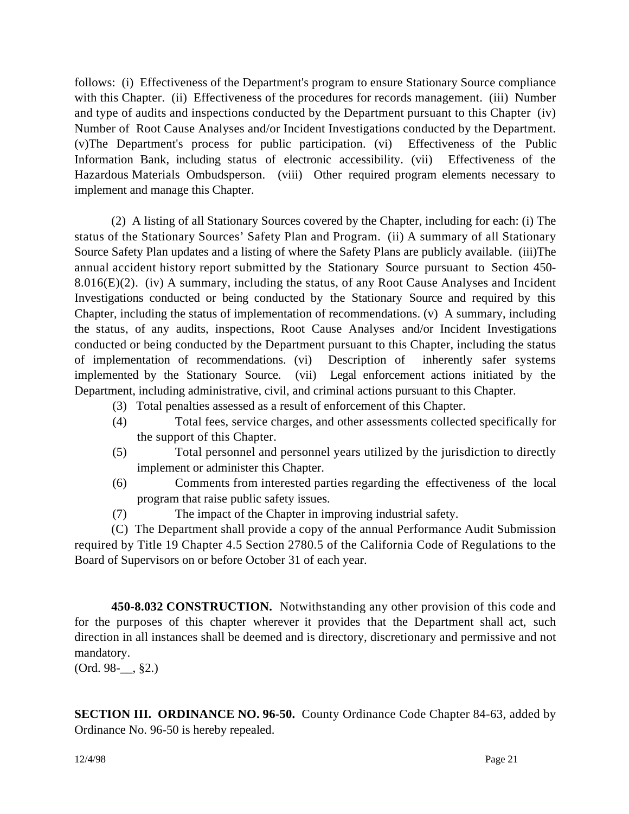follows: (i) Effectiveness of the Department's program to ensure Stationary Source compliance with this Chapter. (ii) Effectiveness of the procedures for records management. (iii) Number and type of audits and inspections conducted by the Department pursuant to this Chapter (iv) Number of Root Cause Analyses and/or Incident Investigations conducted by the Department. (v)The Department's process for public participation. (vi) Effectiveness of the Public Information Bank, including status of electronic accessibility. (vii) Effectiveness of the Hazardous Materials Ombudsperson. (viii) Other required program elements necessary to implement and manage this Chapter.

(2) A listing of all Stationary Sources covered by the Chapter, including for each: (i) The status of the Stationary Sources' Safety Plan and Program. (ii) A summary of all Stationary Source Safety Plan updates and a listing of where the Safety Plans are publicly available. (iii)The annual accident history report submitted by the Stationary Source pursuant to Section 450- 8.016(E)(2). (iv) A summary, including the status, of any Root Cause Analyses and Incident Investigations conducted or being conducted by the Stationary Source and required by this Chapter, including the status of implementation of recommendations. (v) A summary, including the status, of any audits, inspections, Root Cause Analyses and/or Incident Investigations conducted or being conducted by the Department pursuant to this Chapter, including the status of implementation of recommendations. (vi) Description of inherently safer systems implemented by the Stationary Source. (vii) Legal enforcement actions initiated by the Department, including administrative, civil, and criminal actions pursuant to this Chapter.

- (3) Total penalties assessed as a result of enforcement of this Chapter.
- (4) Total fees, service charges, and other assessments collected specifically for the support of this Chapter.
- (5) Total personnel and personnel years utilized by the jurisdiction to directly implement or administer this Chapter.
- (6) Comments from interested parties regarding the effectiveness of the local program that raise public safety issues.
- (7) The impact of the Chapter in improving industrial safety.

(C) The Department shall provide a copy of the annual Performance Audit Submission required by Title 19 Chapter 4.5 Section 2780.5 of the California Code of Regulations to the Board of Supervisors on or before October 31 of each year.

**450-8.032 CONSTRUCTION.** Notwithstanding any other provision of this code and for the purposes of this chapter wherever it provides that the Department shall act, such direction in all instances shall be deemed and is directory, discretionary and permissive and not mandatory.

(Ord. 98-\_\_, §2.)

**SECTION III. ORDINANCE NO. 96-50.** County Ordinance Code Chapter 84-63, added by Ordinance No. 96-50 is hereby repealed.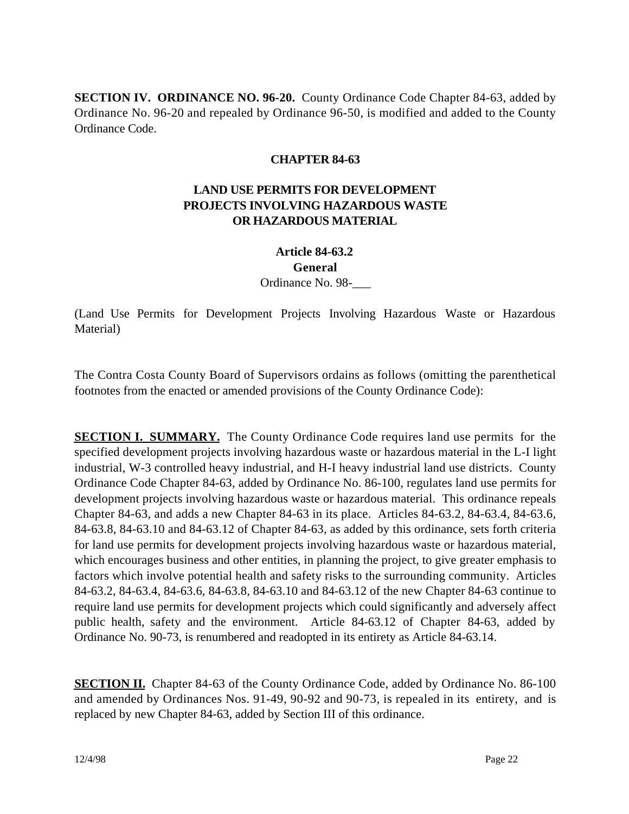**SECTION IV. ORDINANCE NO. 96-20.** County Ordinance Code Chapter 84-63, added by Ordinance No. 96-20 and repealed by Ordinance 96-50, is modified and added to the County Ordinance Code.

## **CHAPTER 84-63**

# **LAND USE PERMITS FOR DEVELOPMENT PROJECTS INVOLVING HAZARDOUS WASTE OR HAZARDOUS MATERIAL**

# **Article 84-63.2**

#### **General**

Ordinance No. 98-\_\_\_

(Land Use Permits for Development Projects Involving Hazardous Waste or Hazardous Material)

The Contra Costa County Board of Supervisors ordains as follows (omitting the parenthetical footnotes from the enacted or amended provisions of the County Ordinance Code):

**SECTION I. SUMMARY.** The County Ordinance Code requires land use permits for the specified development projects involving hazardous waste or hazardous material in the L-I light industrial, W-3 controlled heavy industrial, and H-I heavy industrial land use districts. County Ordinance Code Chapter 84-63, added by Ordinance No. 86-100, regulates land use permits for development projects involving hazardous waste or hazardous material. This ordinance repeals Chapter 84-63, and adds a new Chapter 84-63 in its place. Articles 84-63.2, 84-63.4, 84-63.6, 84-63.8, 84-63.10 and 84-63.12 of Chapter 84-63, as added by this ordinance, sets forth criteria for land use permits for development projects involving hazardous waste or hazardous material, which encourages business and other entities, in planning the project, to give greater emphasis to factors which involve potential health and safety risks to the surrounding community. Articles 84-63.2, 84-63.4, 84-63.6, 84-63.8, 84-63.10 and 84-63.12 of the new Chapter 84-63 continue to require land use permits for development projects which could significantly and adversely affect public health, safety and the environment. Article 84-63.12 of Chapter 84-63, added by Ordinance No. 90-73, is renumbered and readopted in its entirety as Article 84-63.14.

**SECTION II.** Chapter 84-63 of the County Ordinance Code, added by Ordinance No. 86-100 and amended by Ordinances Nos. 91-49, 90-92 and 90-73, is repealed in its entirety, and is replaced by new Chapter 84-63, added by Section III of this ordinance.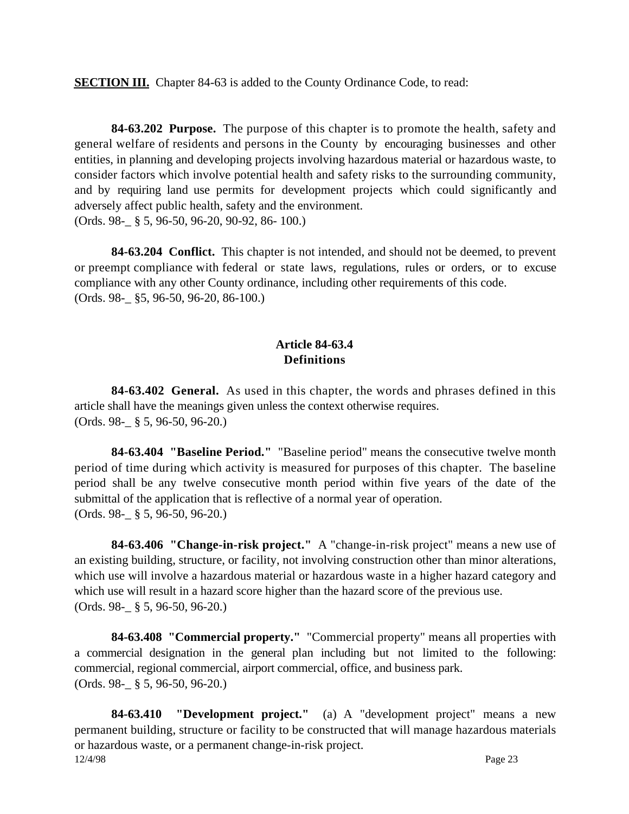**SECTION III.** Chapter 84-63 is added to the County Ordinance Code, to read:

**84-63.202 Purpose.** The purpose of this chapter is to promote the health, safety and general welfare of residents and persons in the County by encouraging businesses and other entities, in planning and developing projects involving hazardous material or hazardous waste, to consider factors which involve potential health and safety risks to the surrounding community, and by requiring land use permits for development projects which could significantly and adversely affect public health, safety and the environment. (Ords. 98-\_ § 5, 96-50, 96-20, 90-92, 86- 100.)

**84-63.204 Conflict.** This chapter is not intended, and should not be deemed, to prevent or preempt compliance with federal or state laws, regulations, rules or orders, or to excuse compliance with any other County ordinance, including other requirements of this code. (Ords. 98-\_ §5, 96-50, 96-20, 86-100.)

## **Article 84-63.4 Definitions**

**84-63.402 General.** As used in this chapter, the words and phrases defined in this article shall have the meanings given unless the context otherwise requires. (Ords. 98-\_ § 5, 96-50, 96-20.)

**84-63.404 "Baseline Period."** "Baseline period" means the consecutive twelve month period of time during which activity is measured for purposes of this chapter. The baseline period shall be any twelve consecutive month period within five years of the date of the submittal of the application that is reflective of a normal year of operation. (Ords. 98-\_ § 5, 96-50, 96-20.)

**84-63.406 "Change-in-risk project."** A "change-in-risk project" means a new use of an existing building, structure, or facility, not involving construction other than minor alterations, which use will involve a hazardous material or hazardous waste in a higher hazard category and which use will result in a hazard score higher than the hazard score of the previous use. (Ords. 98-\_ § 5, 96-50, 96-20.)

**84-63.408 "Commercial property."** "Commercial property" means all properties with a commercial designation in the general plan including but not limited to the following: commercial, regional commercial, airport commercial, office, and business park. (Ords. 98-\_ § 5, 96-50, 96-20.)

12/4/98 Page 23 **84-63.410 "Development project."** (a) A "development project" means a new permanent building, structure or facility to be constructed that will manage hazardous materials or hazardous waste, or a permanent change-in-risk project.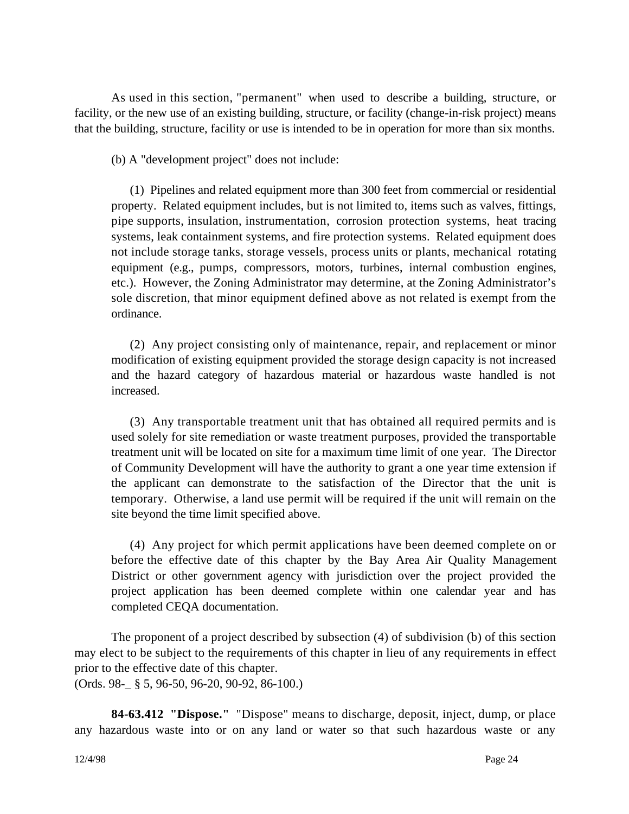As used in this section, "permanent" when used to describe a building, structure, or facility, or the new use of an existing building, structure, or facility (change-in-risk project) means that the building, structure, facility or use is intended to be in operation for more than six months.

(b) A "development project" does not include:

(1) Pipelines and related equipment more than 300 feet from commercial or residential property. Related equipment includes, but is not limited to, items such as valves, fittings, pipe supports, insulation, instrumentation, corrosion protection systems, heat tracing systems, leak containment systems, and fire protection systems. Related equipment does not include storage tanks, storage vessels, process units or plants, mechanical rotating equipment (e.g., pumps, compressors, motors, turbines, internal combustion engines, etc.). However, the Zoning Administrator may determine, at the Zoning Administrator's sole discretion, that minor equipment defined above as not related is exempt from the ordinance.

(2) Any project consisting only of maintenance, repair, and replacement or minor modification of existing equipment provided the storage design capacity is not increased and the hazard category of hazardous material or hazardous waste handled is not increased.

(3) Any transportable treatment unit that has obtained all required permits and is used solely for site remediation or waste treatment purposes, provided the transportable treatment unit will be located on site for a maximum time limit of one year. The Director of Community Development will have the authority to grant a one year time extension if the applicant can demonstrate to the satisfaction of the Director that the unit is temporary. Otherwise, a land use permit will be required if the unit will remain on the site beyond the time limit specified above.

(4) Any project for which permit applications have been deemed complete on or before the effective date of this chapter by the Bay Area Air Quality Management District or other government agency with jurisdiction over the project provided the project application has been deemed complete within one calendar year and has completed CEQA documentation.

The proponent of a project described by subsection (4) of subdivision (b) of this section may elect to be subject to the requirements of this chapter in lieu of any requirements in effect prior to the effective date of this chapter. (Ords. 98-\_ § 5, 96-50, 96-20, 90-92, 86-100.)

**84-63.412 "Dispose."** "Dispose" means to discharge, deposit, inject, dump, or place any hazardous waste into or on any land or water so that such hazardous waste or any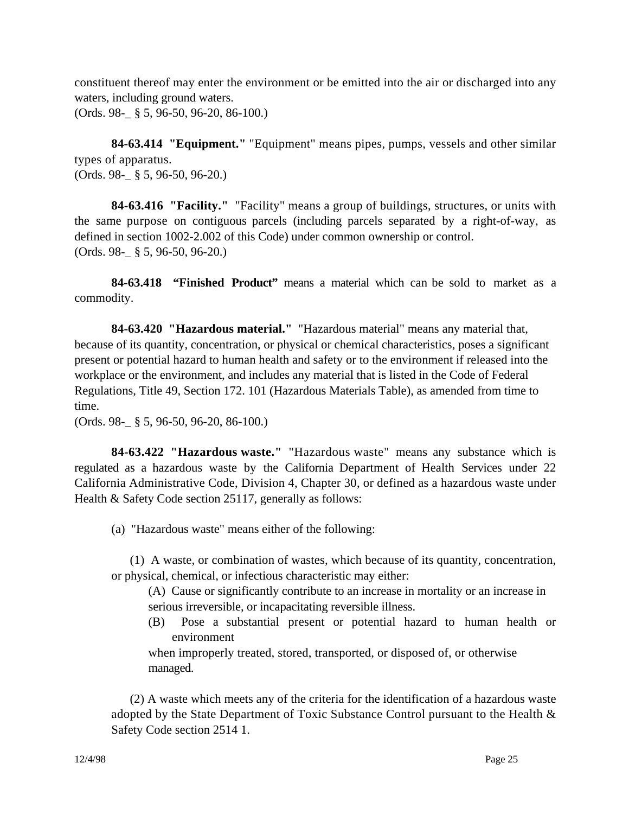constituent thereof may enter the environment or be emitted into the air or discharged into any waters, including ground waters.

(Ords. 98-\_ § 5, 96-50, 96-20, 86-100.)

**84-63.414 "Equipment."** "Equipment" means pipes, pumps, vessels and other similar types of apparatus. (Ords. 98-\_ § 5, 96-50, 96-20.)

**84-63.416 "Facility."** "Facility" means a group of buildings, structures, or units with the same purpose on contiguous parcels (including parcels separated by a right-of-way, as defined in section 1002-2.002 of this Code) under common ownership or control. (Ords. 98-\_ § 5, 96-50, 96-20.)

**84-63.418 "Finished Product"** means a material which can be sold to market as a commodity.

**84-63.420 "Hazardous material."** "Hazardous material" means any material that, because of its quantity, concentration, or physical or chemical characteristics, poses a significant present or potential hazard to human health and safety or to the environment if released into the workplace or the environment, and includes any material that is listed in the Code of Federal Regulations, Title 49, Section 172. 101 (Hazardous Materials Table), as amended from time to time.

(Ords. 98-\_ § 5, 96-50, 96-20, 86-100.)

**84-63.422 "Hazardous waste."** "Hazardous waste" means any substance which is regulated as a hazardous waste by the California Department of Health Services under 22 California Administrative Code, Division 4, Chapter 30, or defined as a hazardous waste under Health & Safety Code section 25117, generally as follows:

(a) "Hazardous waste" means either of the following:

(1) A waste, or combination of wastes, which because of its quantity, concentration, or physical, chemical, or infectious characteristic may either:

(A) Cause or significantly contribute to an increase in mortality or an increase in serious irreversible, or incapacitating reversible illness.

(B) Pose a substantial present or potential hazard to human health or environment

when improperly treated, stored, transported, or disposed of, or otherwise managed.

(2) A waste which meets any of the criteria for the identification of a hazardous waste adopted by the State Department of Toxic Substance Control pursuant to the Health & Safety Code section 2514 1.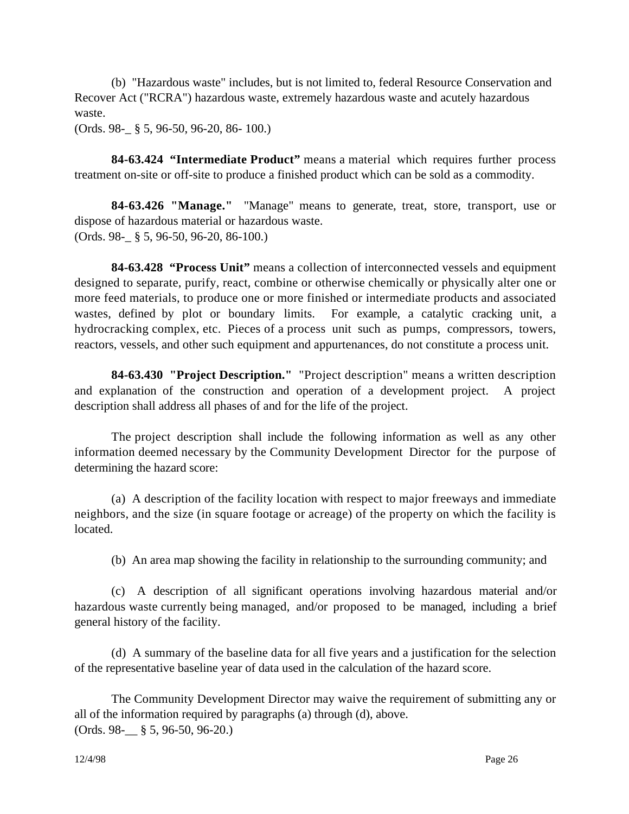(b) "Hazardous waste" includes, but is not limited to, federal Resource Conservation and Recover Act ("RCRA") hazardous waste, extremely hazardous waste and acutely hazardous waste.

(Ords. 98-\_ § 5, 96-50, 96-20, 86- 100.)

**84-63.424 "Intermediate Product"** means a material which requires further process treatment on-site or off-site to produce a finished product which can be sold as a commodity.

**84-63.426 "Manage."** "Manage" means to generate, treat, store, transport, use or dispose of hazardous material or hazardous waste. (Ords. 98-\_ § 5, 96-50, 96-20, 86-100.)

**84-63.428 "Process Unit"** means a collection of interconnected vessels and equipment designed to separate, purify, react, combine or otherwise chemically or physically alter one or more feed materials, to produce one or more finished or intermediate products and associated wastes, defined by plot or boundary limits. For example, a catalytic cracking unit, a hydrocracking complex, etc. Pieces of a process unit such as pumps, compressors, towers, reactors, vessels, and other such equipment and appurtenances, do not constitute a process unit.

**84-63.430 "Project Description."** "Project description" means a written description and explanation of the construction and operation of a development project. A project description shall address all phases of and for the life of the project.

The project description shall include the following information as well as any other information deemed necessary by the Community Development Director for the purpose of determining the hazard score:

(a) A description of the facility location with respect to major freeways and immediate neighbors, and the size (in square footage or acreage) of the property on which the facility is located.

(b) An area map showing the facility in relationship to the surrounding community; and

(c) A description of all significant operations involving hazardous material and/or hazardous waste currently being managed, and/or proposed to be managed, including a brief general history of the facility.

(d) A summary of the baseline data for all five years and a justification for the selection of the representative baseline year of data used in the calculation of the hazard score.

The Community Development Director may waive the requirement of submitting any or all of the information required by paragraphs (a) through (d), above. (Ords. 98-\_\_ § 5, 96-50, 96-20.)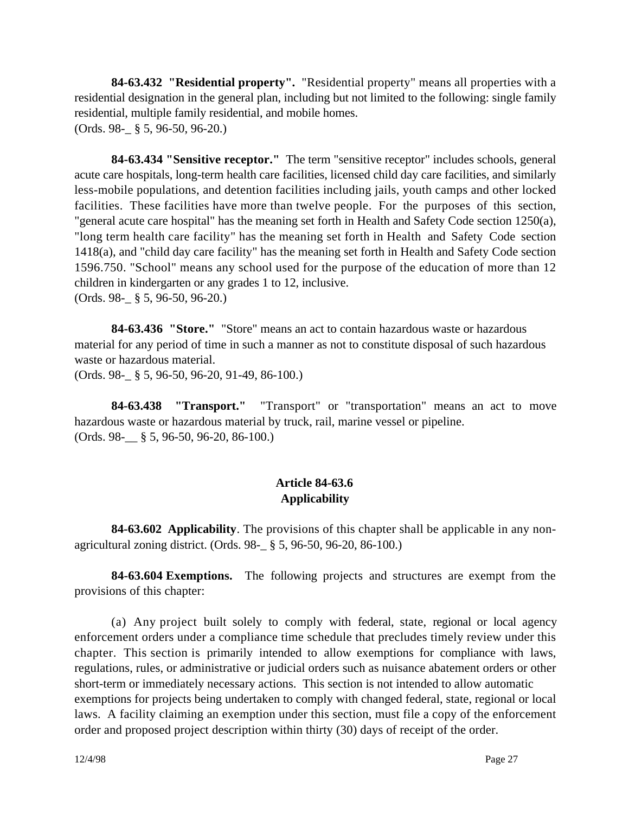**84-63.432 "Residential property".** "Residential property" means all properties with a residential designation in the general plan, including but not limited to the following: single family residential, multiple family residential, and mobile homes. (Ords. 98-\_ § 5, 96-50, 96-20.)

**84-63.434 "Sensitive receptor."** The term "sensitive receptor" includes schools, general acute care hospitals, long-term health care facilities, licensed child day care facilities, and similarly less-mobile populations, and detention facilities including jails, youth camps and other locked facilities. These facilities have more than twelve people. For the purposes of this section, "general acute care hospital" has the meaning set forth in Health and Safety Code section 1250(a), "long term health care facility" has the meaning set forth in Health and Safety Code section 1418(a), and "child day care facility" has the meaning set forth in Health and Safety Code section 1596.750. "School" means any school used for the purpose of the education of more than 12 children in kindergarten or any grades 1 to 12, inclusive. (Ords. 98-\_ § 5, 96-50, 96-20.)

**84-63.436 "Store."** "Store" means an act to contain hazardous waste or hazardous material for any period of time in such a manner as not to constitute disposal of such hazardous waste or hazardous material.

(Ords. 98-\_ § 5, 96-50, 96-20, 91-49, 86-100.)

**84-63.438 "Transport."** "Transport" or "transportation" means an act to move hazardous waste or hazardous material by truck, rail, marine vessel or pipeline. (Ords. 98-\_\_ § 5, 96-50, 96-20, 86-100.)

## **Article 84-63.6 Applicability**

**84-63.602 Applicability**. The provisions of this chapter shall be applicable in any nonagricultural zoning district. (Ords. 98-\_ § 5, 96-50, 96-20, 86-100.)

**84-63.604 Exemptions.** The following projects and structures are exempt from the provisions of this chapter:

(a) Any project built solely to comply with federal, state, regional or local agency enforcement orders under a compliance time schedule that precludes timely review under this chapter. This section is primarily intended to allow exemptions for compliance with laws, regulations, rules, or administrative or judicial orders such as nuisance abatement orders or other short-term or immediately necessary actions. This section is not intended to allow automatic exemptions for projects being undertaken to comply with changed federal, state, regional or local laws. A facility claiming an exemption under this section, must file a copy of the enforcement order and proposed project description within thirty (30) days of receipt of the order.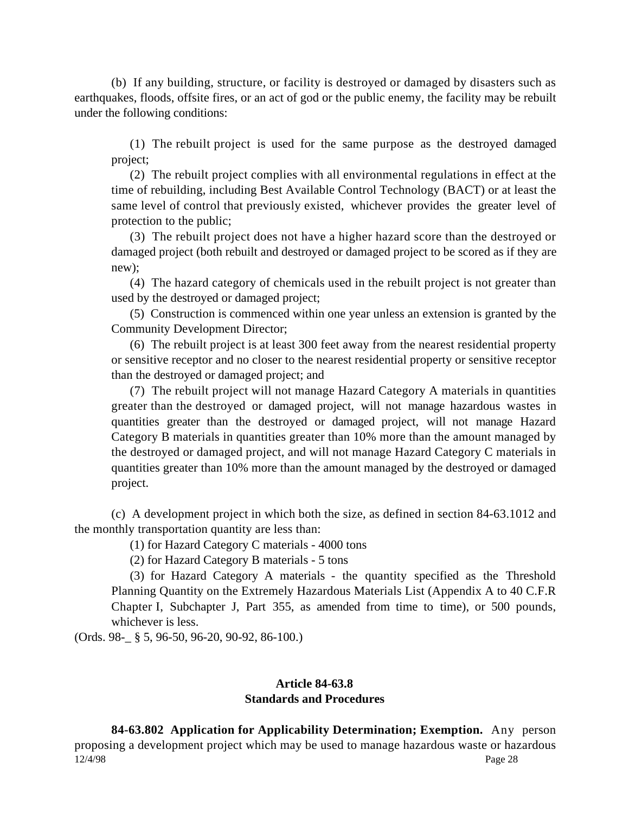(b) If any building, structure, or facility is destroyed or damaged by disasters such as earthquakes, floods, offsite fires, or an act of god or the public enemy, the facility may be rebuilt under the following conditions:

(1) The rebuilt project is used for the same purpose as the destroyed damaged project;

(2) The rebuilt project complies with all environmental regulations in effect at the time of rebuilding, including Best Available Control Technology (BACT) or at least the same level of control that previously existed, whichever provides the greater level of protection to the public;

(3) The rebuilt project does not have a higher hazard score than the destroyed or damaged project (both rebuilt and destroyed or damaged project to be scored as if they are new);

(4) The hazard category of chemicals used in the rebuilt project is not greater than used by the destroyed or damaged project;

(5) Construction is commenced within one year unless an extension is granted by the Community Development Director;

(6) The rebuilt project is at least 300 feet away from the nearest residential property or sensitive receptor and no closer to the nearest residential property or sensitive receptor than the destroyed or damaged project; and

(7) The rebuilt project will not manage Hazard Category A materials in quantities greater than the destroyed or damaged project, will not manage hazardous wastes in quantities greater than the destroyed or damaged project, will not manage Hazard Category B materials in quantities greater than 10% more than the amount managed by the destroyed or damaged project, and will not manage Hazard Category C materials in quantities greater than 10% more than the amount managed by the destroyed or damaged project.

(c) A development project in which both the size, as defined in section 84-63.1012 and the monthly transportation quantity are less than:

(1) for Hazard Category C materials - 4000 tons

(2) for Hazard Category B materials - 5 tons

(3) for Hazard Category A materials - the quantity specified as the Threshold Planning Quantity on the Extremely Hazardous Materials List (Appendix A to 40 C.F.R Chapter I, Subchapter J, Part 355, as amended from time to time), or 500 pounds, whichever is less.

(Ords. 98-\_ § 5, 96-50, 96-20, 90-92, 86-100.)

#### **Article 84-63.8 Standards and Procedures**

12/4/98 Page 28 **84-63.802 Application for Applicability Determination; Exemption.** Any person proposing a development project which may be used to manage hazardous waste or hazardous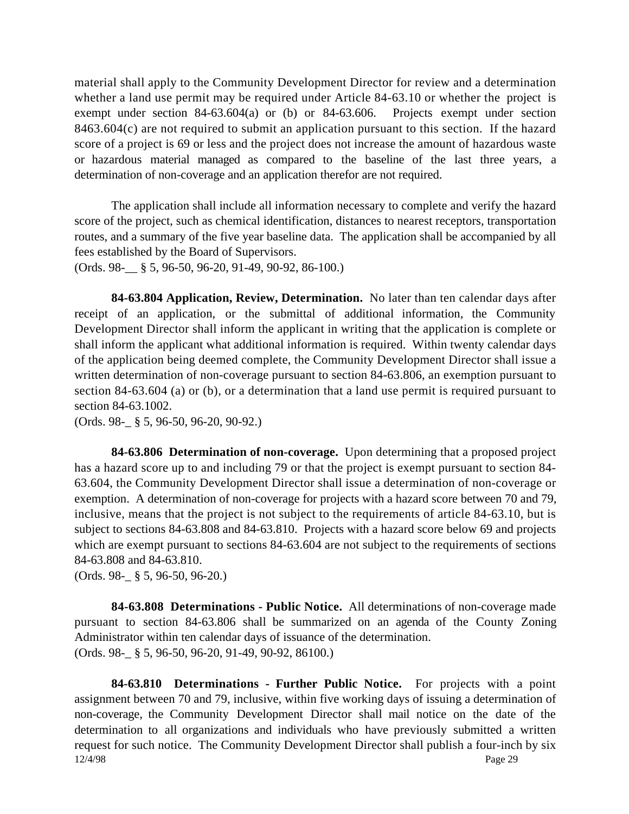material shall apply to the Community Development Director for review and a determination whether a land use permit may be required under Article 84-63.10 or whether the project is exempt under section 84-63.604(a) or (b) or 84-63.606. Projects exempt under section 8463.604(c) are not required to submit an application pursuant to this section. If the hazard score of a project is 69 or less and the project does not increase the amount of hazardous waste or hazardous material managed as compared to the baseline of the last three years, a determination of non-coverage and an application therefor are not required.

The application shall include all information necessary to complete and verify the hazard score of the project, such as chemical identification, distances to nearest receptors, transportation routes, and a summary of the five year baseline data. The application shall be accompanied by all fees established by the Board of Supervisors.

(Ords. 98-\_\_ § 5, 96-50, 96-20, 91-49, 90-92, 86-100.)

**84-63.804 Application, Review, Determination.** No later than ten calendar days after receipt of an application, or the submittal of additional information, the Community Development Director shall inform the applicant in writing that the application is complete or shall inform the applicant what additional information is required. Within twenty calendar days of the application being deemed complete, the Community Development Director shall issue a written determination of non-coverage pursuant to section 84-63.806, an exemption pursuant to section 84-63.604 (a) or (b), or a determination that a land use permit is required pursuant to section 84-63.1002.

(Ords. 98-\_ § 5, 96-50, 96-20, 90-92.)

**84-63.806 Determination of non-coverage.** Upon determining that a proposed project has a hazard score up to and including 79 or that the project is exempt pursuant to section 84- 63.604, the Community Development Director shall issue a determination of non-coverage or exemption. A determination of non-coverage for projects with a hazard score between 70 and 79, inclusive, means that the project is not subject to the requirements of article 84-63.10, but is subject to sections 84-63.808 and 84-63.810. Projects with a hazard score below 69 and projects which are exempt pursuant to sections 84-63.604 are not subject to the requirements of sections 84-63.808 and 84-63.810.

(Ords. 98-\_ § 5, 96-50, 96-20.)

**84-63.808 Determinations - Public Notice.** All determinations of non-coverage made pursuant to section 84-63.806 shall be summarized on an agenda of the County Zoning Administrator within ten calendar days of issuance of the determination. (Ords. 98-\_ § 5, 96-50, 96-20, 91-49, 90-92, 86100.)

12/4/98 Page 29 **84-63.810 Determinations - Further Public Notice.** For projects with a point assignment between 70 and 79, inclusive, within five working days of issuing a determination of non-coverage, the Community Development Director shall mail notice on the date of the determination to all organizations and individuals who have previously submitted a written request for such notice. The Community Development Director shall publish a four-inch by six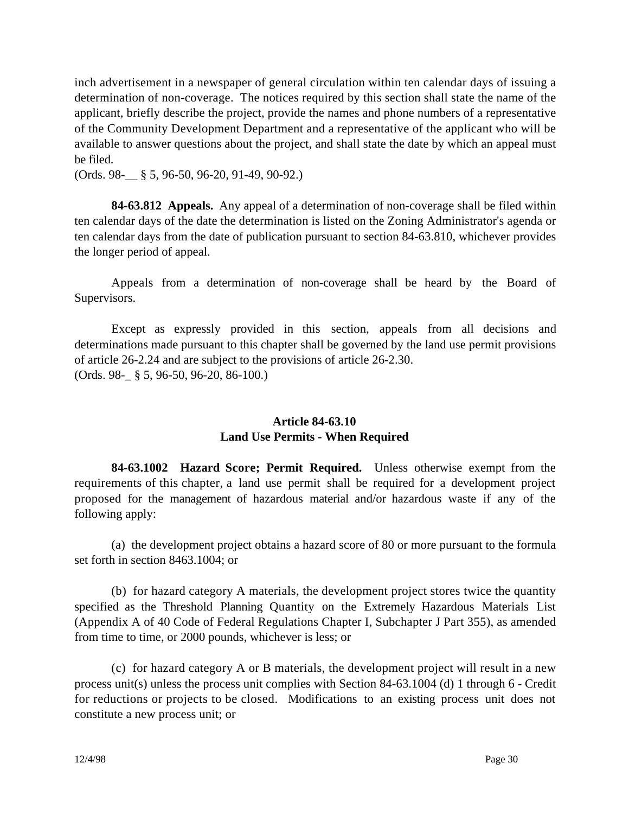inch advertisement in a newspaper of general circulation within ten calendar days of issuing a determination of non-coverage. The notices required by this section shall state the name of the applicant, briefly describe the project, provide the names and phone numbers of a representative of the Community Development Department and a representative of the applicant who will be available to answer questions about the project, and shall state the date by which an appeal must be filed.

(Ords. 98-\_\_ § 5, 96-50, 96-20, 91-49, 90-92.)

**84-63.812 Appeals.** Any appeal of a determination of non-coverage shall be filed within ten calendar days of the date the determination is listed on the Zoning Administrator's agenda or ten calendar days from the date of publication pursuant to section 84-63.810, whichever provides the longer period of appeal.

Appeals from a determination of non-coverage shall be heard by the Board of Supervisors.

Except as expressly provided in this section, appeals from all decisions and determinations made pursuant to this chapter shall be governed by the land use permit provisions of article 26-2.24 and are subject to the provisions of article 26-2.30. (Ords. 98-\_ § 5, 96-50, 96-20, 86-100.)

# **Article 84-63.10 Land Use Permits - When Required**

**84-63.1002 Hazard Score; Permit Required.** Unless otherwise exempt from the requirements of this chapter, a land use permit shall be required for a development project proposed for the management of hazardous material and/or hazardous waste if any of the following apply:

(a) the development project obtains a hazard score of 80 or more pursuant to the formula set forth in section 8463.1004; or

(b) for hazard category A materials, the development project stores twice the quantity specified as the Threshold Planning Quantity on the Extremely Hazardous Materials List (Appendix A of 40 Code of Federal Regulations Chapter I, Subchapter J Part 355), as amended from time to time, or 2000 pounds, whichever is less; or

(c) for hazard category A or B materials, the development project will result in a new process unit(s) unless the process unit complies with Section 84-63.1004 (d) 1 through 6 - Credit for reductions or projects to be closed. Modifications to an existing process unit does not constitute a new process unit; or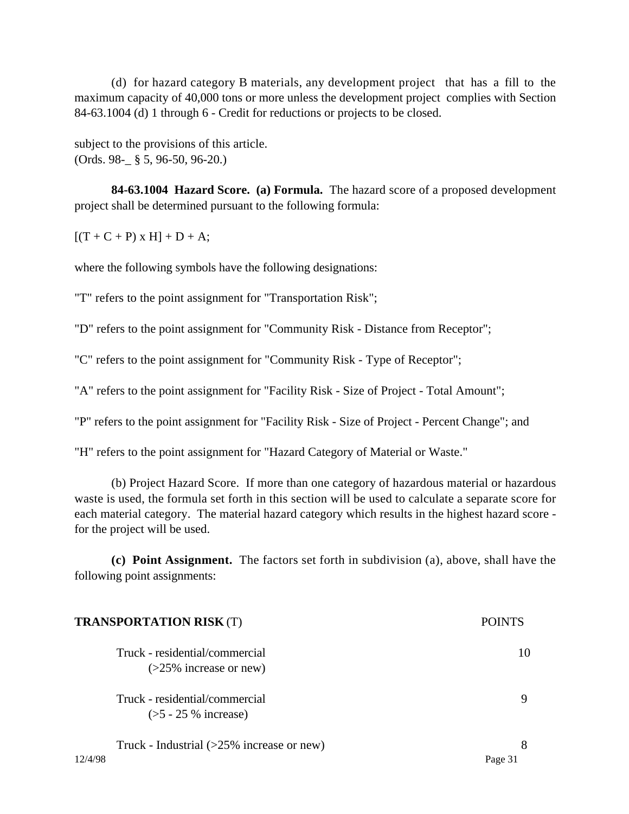(d) for hazard category B materials, any development project that has a fill to the maximum capacity of 40,000 tons or more unless the development project complies with Section 84-63.1004 (d) 1 through 6 - Credit for reductions or projects to be closed.

subject to the provisions of this article. (Ords. 98-\_ § 5, 96-50, 96-20.)

**84-63.1004 Hazard Score. (a) Formula.** The hazard score of a proposed development project shall be determined pursuant to the following formula:

 $[(T + C + P) \times H] + D + A;$ 

where the following symbols have the following designations:

"T" refers to the point assignment for "Transportation Risk";

"D" refers to the point assignment for "Community Risk - Distance from Receptor";

"C" refers to the point assignment for "Community Risk - Type of Receptor";

"A" refers to the point assignment for "Facility Risk - Size of Project - Total Amount";

"P" refers to the point assignment for "Facility Risk - Size of Project - Percent Change"; and

"H" refers to the point assignment for "Hazard Category of Material or Waste."

(b) Project Hazard Score. If more than one category of hazardous material or hazardous waste is used, the formula set forth in this section will be used to calculate a separate score for each material category. The material hazard category which results in the highest hazard score for the project will be used.

**(c) Point Assignment.** The factors set forth in subdivision (a), above, shall have the following point assignments:

| <b>TRANSPORTATION RISK (T)</b>               | POINTS  |
|----------------------------------------------|---------|
| Truck - residential/commercial               | 10      |
| $($ >25% increase or new)                    |         |
| Truck - residential/commercial               | 9       |
| $(5 - 25\%$ increase)                        |         |
| Truck - Industrial $(>25\%$ increase or new) | 8       |
| 12/4/98                                      | Page 31 |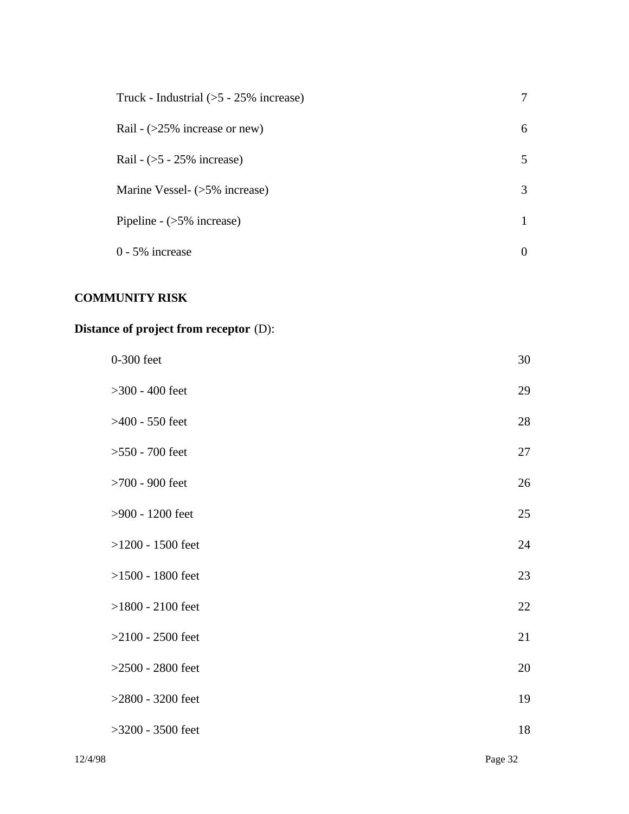| Truck - Industrial $(5 - 25\%$ increase) | 7            |
|------------------------------------------|--------------|
| Rail - $(>25\%$ increase or new)         | 6            |
| Rail - $(5 - 25\%$ increase)             | 5            |
| Marine Vessel- (>5% increase)            | 3            |
| Pipeline - $($ >5% increase)             | $\mathbf{1}$ |
| $0 - 5\%$ increase                       | 0            |

# **COMMUNITY RISK**

# **Distance of project from receptor** (D):

| 0-300 feet          | 30     |
|---------------------|--------|
| $>300 - 400$ feet   | 29     |
| $>400 - 550$ feet   | 28     |
| $>550 - 700$ feet   | 27     |
| $>700$ - 900 feet   | 26     |
| >900 - 1200 feet    | 25     |
| $>1200 - 1500$ feet | 24     |
| $>1500 - 1800$ feet | 23     |
| $>1800 - 2100$ feet | $22\,$ |
| $>2100 - 2500$ feet | 21     |
| $>2500 - 2800$ feet | 20     |
| $>2800 - 3200$ feet | 19     |
| $>3200 - 3500$ feet | 18     |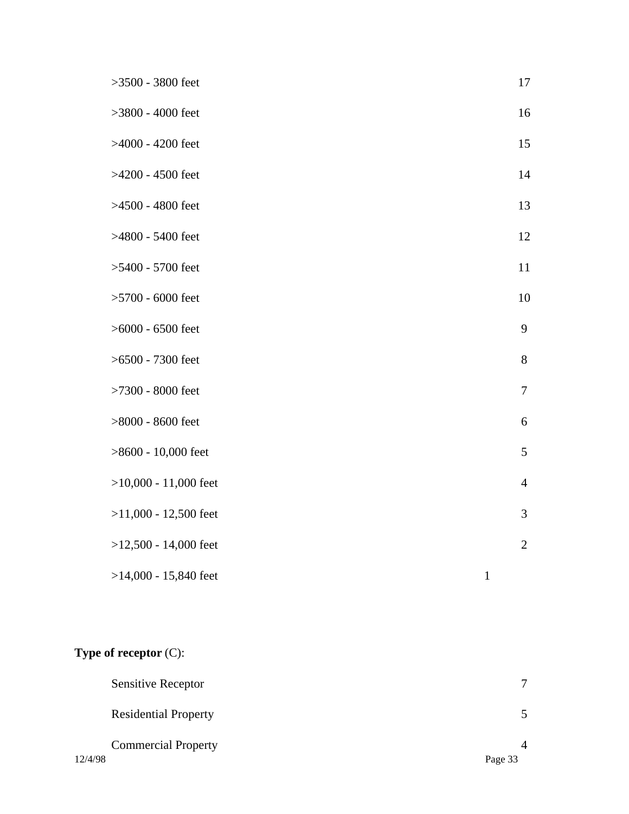| $>3500 - 3800$ feet     |              | 17             |
|-------------------------|--------------|----------------|
| $>3800 - 4000$ feet     |              | 16             |
| >4000 - 4200 feet       |              | 15             |
| >4200 - 4500 feet       |              | 14             |
| >4500 - 4800 feet       |              | 13             |
| >4800 - 5400 feet       |              | 12             |
| $>5400 - 5700$ feet     |              | 11             |
| $>5700$ - 6000 feet     |              | 10             |
| $>6000 - 6500$ feet     |              | 9              |
| $>6500 - 7300$ feet     |              | 8              |
| $>7300 - 8000$ feet     |              | $\overline{7}$ |
| $>8000$ - 8600 feet     |              | 6              |
| $>8600 - 10,000$ feet   |              | 5              |
| $>10,000 - 11,000$ feet |              | $\overline{4}$ |
| $>11,000 - 12,500$ feet |              | 3              |
| $>12,500 - 14,000$ feet |              | $\sqrt{2}$     |
| $>14,000 - 15,840$ feet | $\mathbf{1}$ |                |

# **Type of receptor** (C):

|         | <b>Sensitive Receptor</b>   | 7       |
|---------|-----------------------------|---------|
|         | <b>Residential Property</b> |         |
|         | <b>Commercial Property</b>  |         |
| 12/4/98 |                             | Page 33 |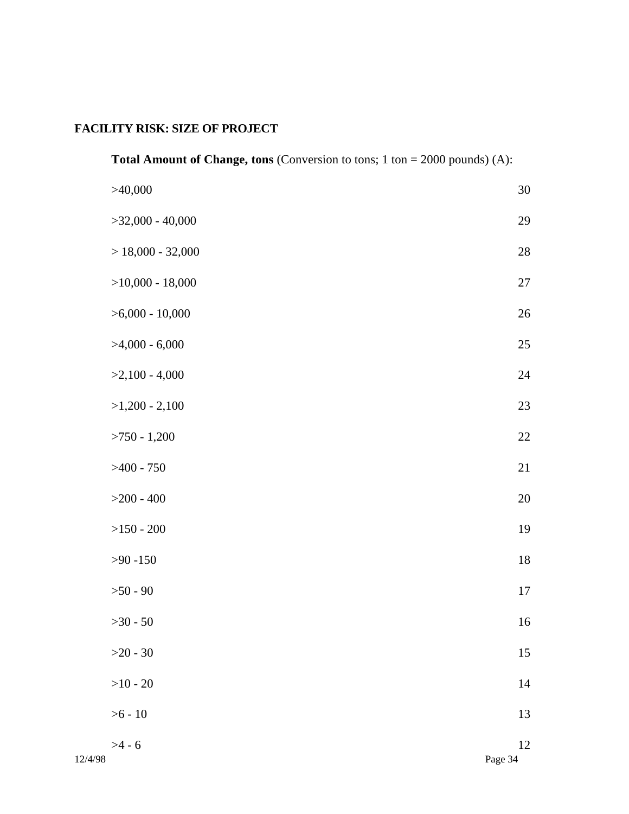# **FACILITY RISK: SIZE OF PROJECT**

|         | <b>Total Amount of Change, tons</b> (Conversion to tons; $1 \text{ ton} = 2000 \text{ pounds}$ ) (A): |               |
|---------|-------------------------------------------------------------------------------------------------------|---------------|
|         | >40,000                                                                                               | $30\,$        |
|         | $>$ 32,000 - 40,000                                                                                   | 29            |
|         | $> 18,000 - 32,000$                                                                                   | $28\,$        |
|         | $>10,000 - 18,000$                                                                                    | $27\,$        |
|         | $>6,000 - 10,000$                                                                                     | $26\,$        |
|         | $>4,000 - 6,000$                                                                                      | $25\,$        |
|         | $>2,100 - 4,000$                                                                                      | $24\,$        |
|         | $>1,200 - 2,100$                                                                                      | 23            |
|         | $>750 - 1,200$                                                                                        | $22\,$        |
|         | $>400 - 750$                                                                                          | 21            |
|         | $>200 - 400$                                                                                          | $20\,$        |
|         | $>150 - 200$                                                                                          | 19            |
|         | $>90 - 150$                                                                                           | $18\,$        |
|         | $>50 - 90$                                                                                            | $17\,$        |
|         | $>30 - 50$                                                                                            | $16\,$        |
|         | $>20 - 30$                                                                                            | 15            |
|         | $>10 - 20$                                                                                            | $14\,$        |
|         | $> 6 - 10$                                                                                            | 13            |
| 12/4/98 | $>4 - 6$                                                                                              | 12<br>Page 34 |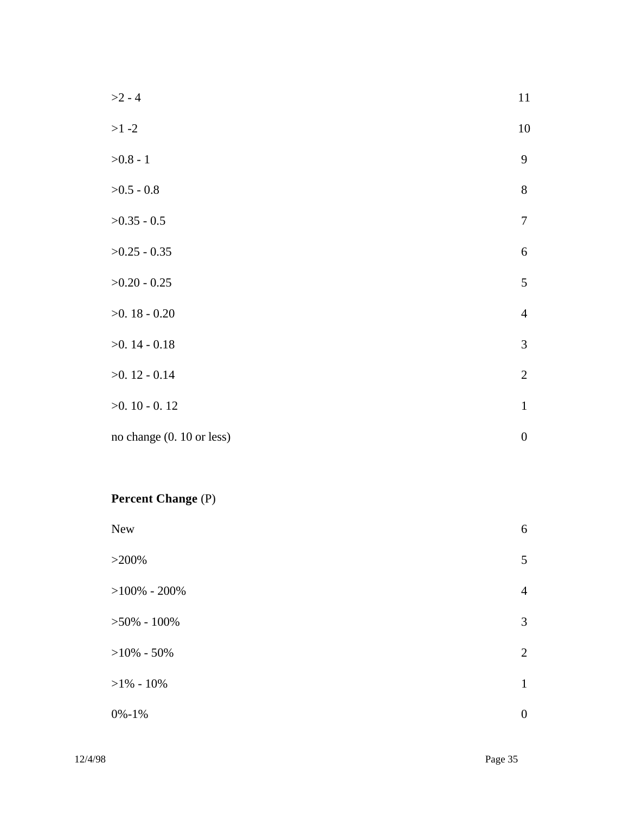| $>2 - 4$                  | $11\,$           |
|---------------------------|------------------|
| $>1 - 2$                  | 10               |
| $>0.8 - 1$                | 9                |
| $>0.5 - 0.8$              | $8\,$            |
| $>0.35 - 0.5$             | $\boldsymbol{7}$ |
| $>0.25 - 0.35$            | $\sqrt{6}$       |
| $>0.20 - 0.25$            | $\mathfrak{S}$   |
| $>0.18 - 0.20$            | $\overline{4}$   |
| $>0.14 - 0.18$            | $\mathfrak{Z}$   |
| $>0.12 - 0.14$            | $\sqrt{2}$       |
| $>0.10 - 0.12$            | $\mathbf{1}$     |
| no change (0. 10 or less) | $\boldsymbol{0}$ |

# **Percent Change** (P)

| New             | 6                |
|-----------------|------------------|
| $>200\%$        | 5                |
| $>100\%$ - 200% | $\overline{4}$   |
| $>50\% - 100\%$ | $\mathfrak{Z}$   |
| $>10\% - 50\%$  | $\overline{2}$   |
| $>1\% - 10\%$   | $\mathbf{1}$     |
| $0\% - 1\%$     | $\boldsymbol{0}$ |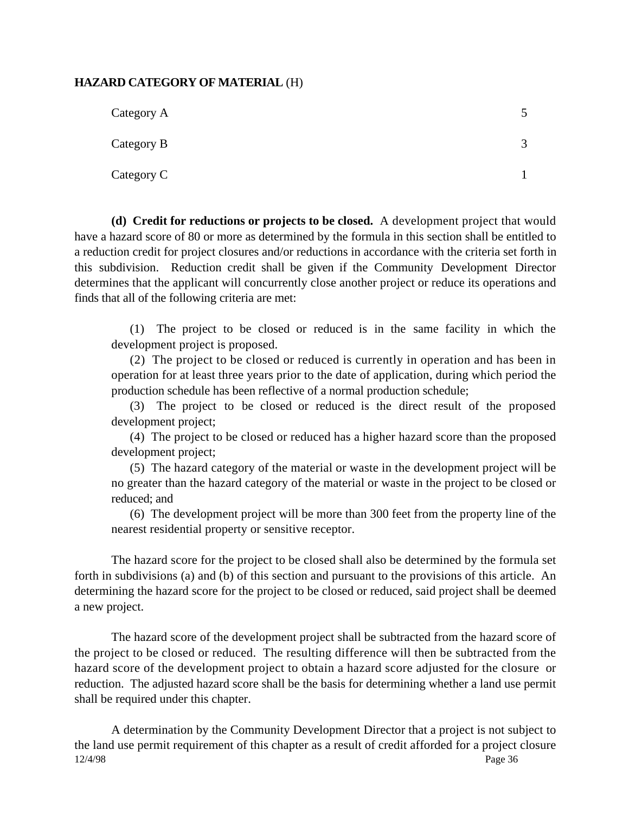#### **HAZARD CATEGORY OF MATERIAL** (H)

| Category A |  |
|------------|--|
| Category B |  |
| Category C |  |

**(d) Credit for reductions or projects to be closed.** A development project that would have a hazard score of 80 or more as determined by the formula in this section shall be entitled to a reduction credit for project closures and/or reductions in accordance with the criteria set forth in this subdivision. Reduction credit shall be given if the Community Development Director determines that the applicant will concurrently close another project or reduce its operations and finds that all of the following criteria are met:

(1) The project to be closed or reduced is in the same facility in which the development project is proposed.

(2) The project to be closed or reduced is currently in operation and has been in operation for at least three years prior to the date of application, during which period the production schedule has been reflective of a normal production schedule;

(3) The project to be closed or reduced is the direct result of the proposed development project;

(4) The project to be closed or reduced has a higher hazard score than the proposed development project;

(5) The hazard category of the material or waste in the development project will be no greater than the hazard category of the material or waste in the project to be closed or reduced; and

(6) The development project will be more than 300 feet from the property line of the nearest residential property or sensitive receptor.

The hazard score for the project to be closed shall also be determined by the formula set forth in subdivisions (a) and (b) of this section and pursuant to the provisions of this article. An determining the hazard score for the project to be closed or reduced, said project shall be deemed a new project.

The hazard score of the development project shall be subtracted from the hazard score of the project to be closed or reduced. The resulting difference will then be subtracted from the hazard score of the development project to obtain a hazard score adjusted for the closure or reduction. The adjusted hazard score shall be the basis for determining whether a land use permit shall be required under this chapter.

12/4/98 Page 36 A determination by the Community Development Director that a project is not subject to the land use permit requirement of this chapter as a result of credit afforded for a project closure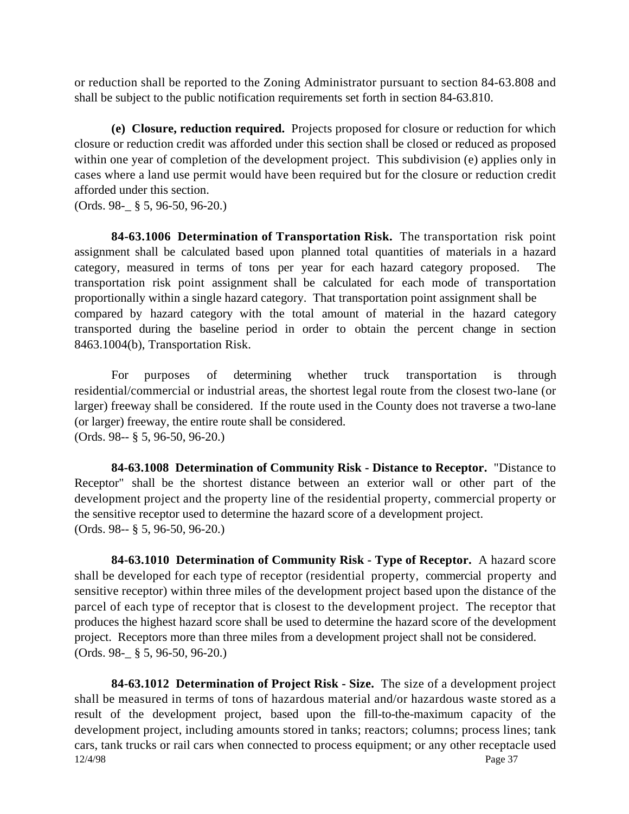or reduction shall be reported to the Zoning Administrator pursuant to section 84-63.808 and shall be subject to the public notification requirements set forth in section 84-63.810.

**(e) Closure, reduction required.** Projects proposed for closure or reduction for which closure or reduction credit was afforded under this section shall be closed or reduced as proposed within one year of completion of the development project. This subdivision (e) applies only in cases where a land use permit would have been required but for the closure or reduction credit afforded under this section.

(Ords. 98-\_ § 5, 96-50, 96-20.)

**84-63.1006 Determination of Transportation Risk.** The transportation risk point assignment shall be calculated based upon planned total quantities of materials in a hazard category, measured in terms of tons per year for each hazard category proposed. The transportation risk point assignment shall be calculated for each mode of transportation proportionally within a single hazard category. That transportation point assignment shall be compared by hazard category with the total amount of material in the hazard category transported during the baseline period in order to obtain the percent change in section 8463.1004(b), Transportation Risk.

For purposes of determining whether truck transportation is through residential/commercial or industrial areas, the shortest legal route from the closest two-lane (or larger) freeway shall be considered. If the route used in the County does not traverse a two-lane (or larger) freeway, the entire route shall be considered. (Ords. 98-- § 5, 96-50, 96-20.)

**84-63.1008 Determination of Community Risk - Distance to Receptor.** "Distance to Receptor" shall be the shortest distance between an exterior wall or other part of the development project and the property line of the residential property, commercial property or the sensitive receptor used to determine the hazard score of a development project. (Ords. 98-- § 5, 96-50, 96-20.)

**84-63.1010 Determination of Community Risk - Type of Receptor.** A hazard score shall be developed for each type of receptor (residential property, commercial property and sensitive receptor) within three miles of the development project based upon the distance of the parcel of each type of receptor that is closest to the development project. The receptor that produces the highest hazard score shall be used to determine the hazard score of the development project. Receptors more than three miles from a development project shall not be considered. (Ords. 98-\_ § 5, 96-50, 96-20.)

12/4/98 Page 37 **84-63.1012 Determination of Project Risk - Size.** The size of a development project shall be measured in terms of tons of hazardous material and/or hazardous waste stored as a result of the development project, based upon the fill-to-the-maximum capacity of the development project, including amounts stored in tanks; reactors; columns; process lines; tank cars, tank trucks or rail cars when connected to process equipment; or any other receptacle used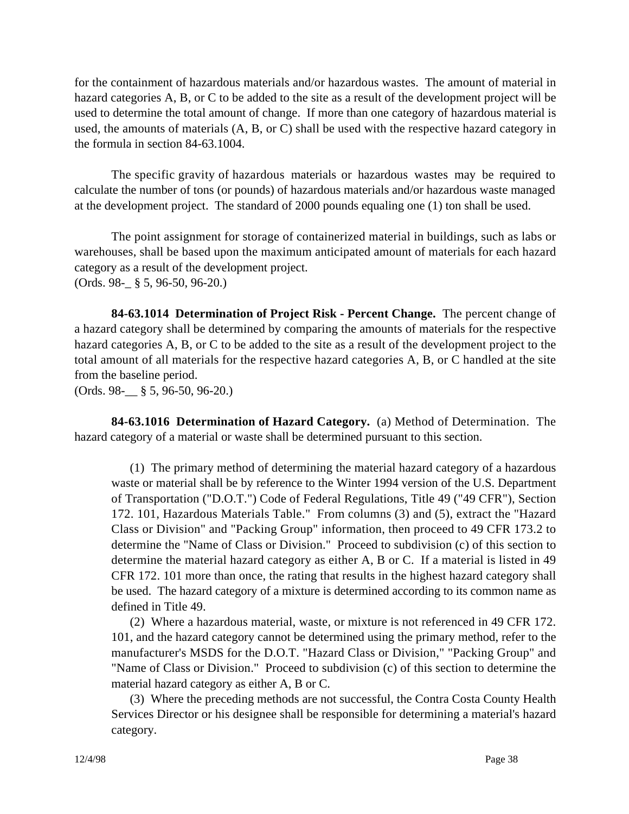for the containment of hazardous materials and/or hazardous wastes. The amount of material in hazard categories A, B, or C to be added to the site as a result of the development project will be used to determine the total amount of change. If more than one category of hazardous material is used, the amounts of materials (A, B, or C) shall be used with the respective hazard category in the formula in section 84-63.1004.

The specific gravity of hazardous materials or hazardous wastes may be required to calculate the number of tons (or pounds) of hazardous materials and/or hazardous waste managed at the development project. The standard of 2000 pounds equaling one (1) ton shall be used.

The point assignment for storage of containerized material in buildings, such as labs or warehouses, shall be based upon the maximum anticipated amount of materials for each hazard category as a result of the development project. (Ords. 98-\_ § 5, 96-50, 96-20.)

**84-63.1014 Determination of Project Risk - Percent Change.** The percent change of a hazard category shall be determined by comparing the amounts of materials for the respective hazard categories A, B, or C to be added to the site as a result of the development project to the total amount of all materials for the respective hazard categories A, B, or C handled at the site from the baseline period.

(Ords. 98-\_\_ § 5, 96-50, 96-20.)

**84-63.1016 Determination of Hazard Category.** (a) Method of Determination. The hazard category of a material or waste shall be determined pursuant to this section.

(1) The primary method of determining the material hazard category of a hazardous waste or material shall be by reference to the Winter 1994 version of the U.S. Department of Transportation ("D.O.T.") Code of Federal Regulations, Title 49 ("49 CFR"), Section 172. 101, Hazardous Materials Table." From columns (3) and (5), extract the "Hazard Class or Division" and "Packing Group" information, then proceed to 49 CFR 173.2 to determine the "Name of Class or Division." Proceed to subdivision (c) of this section to determine the material hazard category as either A, B or C. If a material is listed in 49 CFR 172. 101 more than once, the rating that results in the highest hazard category shall be used. The hazard category of a mixture is determined according to its common name as defined in Title 49.

(2) Where a hazardous material, waste, or mixture is not referenced in 49 CFR 172. 101, and the hazard category cannot be determined using the primary method, refer to the manufacturer's MSDS for the D.O.T. "Hazard Class or Division," "Packing Group" and "Name of Class or Division." Proceed to subdivision (c) of this section to determine the material hazard category as either A, B or C.

(3) Where the preceding methods are not successful, the Contra Costa County Health Services Director or his designee shall be responsible for determining a material's hazard category.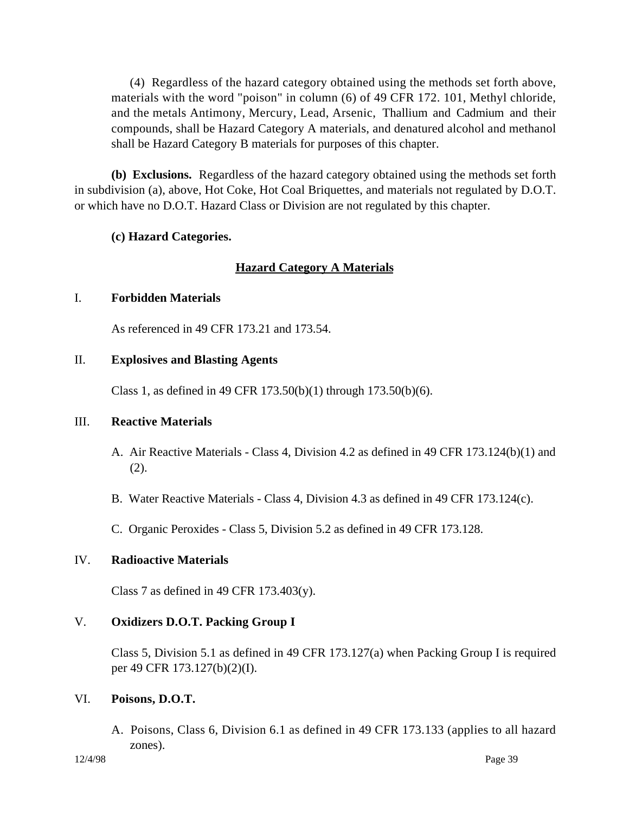(4) Regardless of the hazard category obtained using the methods set forth above, materials with the word "poison" in column (6) of 49 CFR 172. 101, Methyl chloride, and the metals Antimony, Mercury, Lead, Arsenic, Thallium and Cadmium and their compounds, shall be Hazard Category A materials, and denatured alcohol and methanol shall be Hazard Category B materials for purposes of this chapter.

**(b) Exclusions.** Regardless of the hazard category obtained using the methods set forth in subdivision (a), above, Hot Coke, Hot Coal Briquettes, and materials not regulated by D.O.T. or which have no D.O.T. Hazard Class or Division are not regulated by this chapter.

## **(c) Hazard Categories.**

## **Hazard Category A Materials**

## I. **Forbidden Materials**

As referenced in 49 CFR 173.21 and 173.54.

#### II. **Explosives and Blasting Agents**

Class 1, as defined in 49 CFR 173.50(b)(1) through 173.50(b)(6).

## III. **Reactive Materials**

- A. Air Reactive Materials Class 4, Division 4.2 as defined in 49 CFR 173.124(b)(1) and (2).
- B. Water Reactive Materials Class 4, Division 4.3 as defined in 49 CFR 173.124(c).
- C. Organic Peroxides Class 5, Division 5.2 as defined in 49 CFR 173.128.

## IV. **Radioactive Materials**

Class 7 as defined in 49 CFR  $173.403(y)$ .

## V. **Oxidizers D.O.T. Packing Group I**

Class 5, Division 5.1 as defined in 49 CFR 173.127(a) when Packing Group I is required per 49 CFR 173.127(b)(2)(I).

#### VI. **Poisons, D.O.T.**

A. Poisons, Class 6, Division 6.1 as defined in 49 CFR 173.133 (applies to all hazard zones).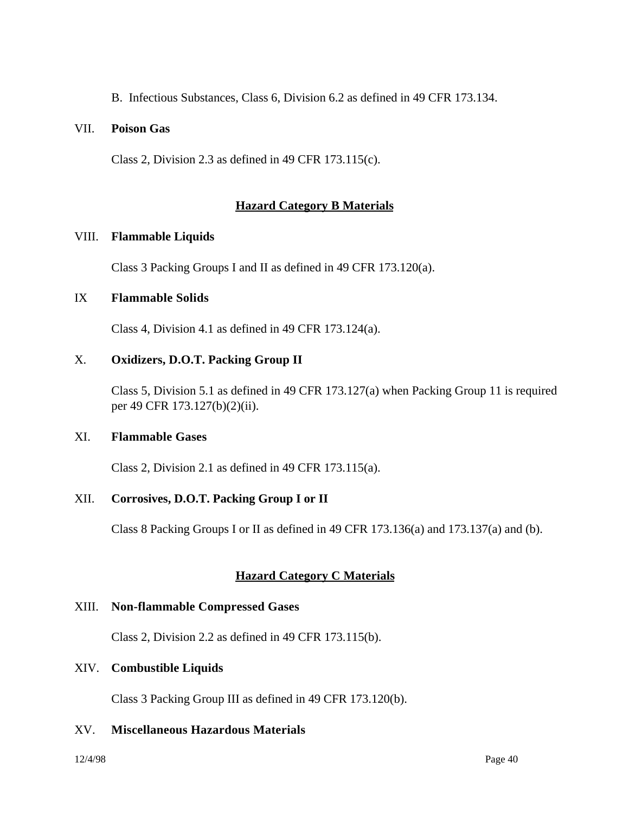B. Infectious Substances, Class 6, Division 6.2 as defined in 49 CFR 173.134.

#### VII. **Poison Gas**

Class 2, Division 2.3 as defined in 49 CFR 173.115(c).

#### **Hazard Category B Materials**

#### VIII. **Flammable Liquids**

Class 3 Packing Groups I and II as defined in 49 CFR 173.120(a).

#### IX **Flammable Solids**

Class 4, Division 4.1 as defined in 49 CFR 173.124(a).

#### X. **Oxidizers, D.O.T. Packing Group II**

Class 5, Division 5.1 as defined in 49 CFR 173.127(a) when Packing Group 11 is required per 49 CFR 173.127(b)(2)(ii).

#### XI. **Flammable Gases**

Class 2, Division 2.1 as defined in 49 CFR 173.115(a).

## XII. **Corrosives, D.O.T. Packing Group I or II**

Class 8 Packing Groups I or II as defined in 49 CFR 173.136(a) and 173.137(a) and (b).

## **Hazard Category C Materials**

#### XIII. **Non-flammable Compressed Gases**

Class 2, Division 2.2 as defined in 49 CFR 173.115(b).

#### XIV. **Combustible Liquids**

Class 3 Packing Group III as defined in 49 CFR 173.120(b).

#### XV. **Miscellaneous Hazardous Materials**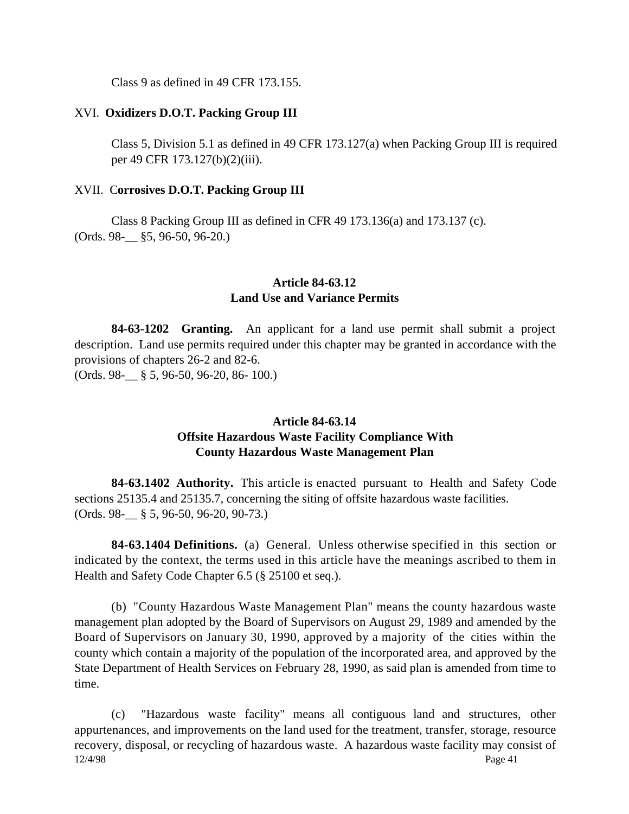Class 9 as defined in 49 CFR 173.155.

#### XVI. **Oxidizers D.O.T. Packing Group III**

Class 5, Division 5.1 as defined in 49 CFR 173.127(a) when Packing Group III is required per 49 CFR 173.127(b)(2)(iii).

#### XVII. C**orrosives D.O.T. Packing Group III**

Class 8 Packing Group III as defined in CFR 49 173.136(a) and 173.137 (c). (Ords. 98-\_\_ §5, 96-50, 96-20.)

#### **Article 84-63.12 Land Use and Variance Permits**

**84-63-1202 Granting.** An applicant for a land use permit shall submit a project description. Land use permits required under this chapter may be granted in accordance with the provisions of chapters 26-2 and 82-6. (Ords. 98-\_\_ § 5, 96-50, 96-20, 86- 100.)

## **Article 84-63.14 Offsite Hazardous Waste Facility Compliance With County Hazardous Waste Management Plan**

**84-63.1402 Authority.** This article is enacted pursuant to Health and Safety Code sections 25135.4 and 25135.7, concerning the siting of offsite hazardous waste facilities. (Ords. 98-\_\_ § 5, 96-50, 96-20, 90-73.)

**84-63.1404 Definitions.** (a) General. Unless otherwise specified in this section or indicated by the context, the terms used in this article have the meanings ascribed to them in Health and Safety Code Chapter 6.5 (§ 25100 et seq.).

(b) "County Hazardous Waste Management Plan" means the county hazardous waste management plan adopted by the Board of Supervisors on August 29, 1989 and amended by the Board of Supervisors on January 30, 1990, approved by a majority of the cities within the county which contain a majority of the population of the incorporated area, and approved by the State Department of Health Services on February 28, 1990, as said plan is amended from time to time.

12/4/98 Page 41 (c) "Hazardous waste facility" means all contiguous land and structures, other appurtenances, and improvements on the land used for the treatment, transfer, storage, resource recovery, disposal, or recycling of hazardous waste. A hazardous waste facility may consist of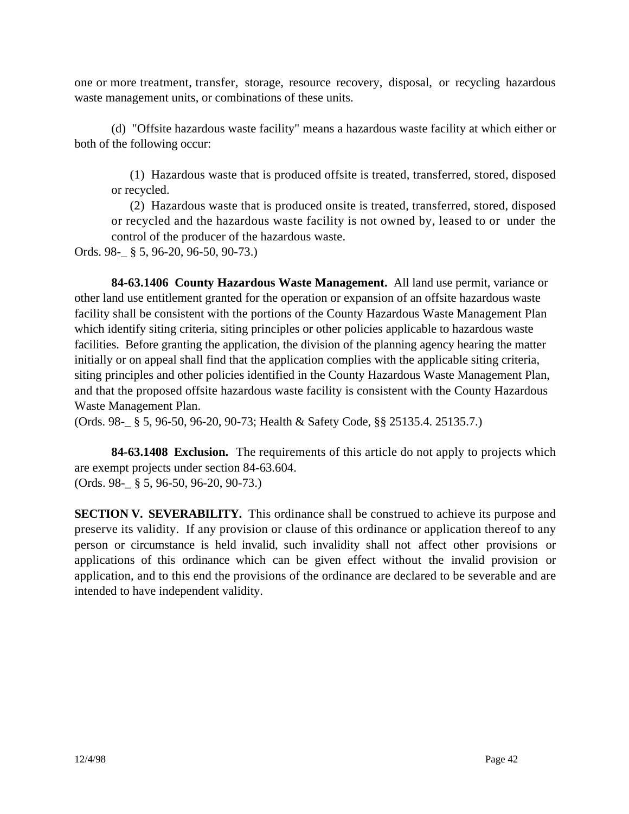one or more treatment, transfer, storage, resource recovery, disposal, or recycling hazardous waste management units, or combinations of these units.

(d) "Offsite hazardous waste facility" means a hazardous waste facility at which either or both of the following occur:

(1) Hazardous waste that is produced offsite is treated, transferred, stored, disposed or recycled.

(2) Hazardous waste that is produced onsite is treated, transferred, stored, disposed or recycled and the hazardous waste facility is not owned by, leased to or under the control of the producer of the hazardous waste.

Ords. 98-\_ § 5, 96-20, 96-50, 90-73.)

**84-63.1406 County Hazardous Waste Management.** All land use permit, variance or other land use entitlement granted for the operation or expansion of an offsite hazardous waste facility shall be consistent with the portions of the County Hazardous Waste Management Plan which identify siting criteria, siting principles or other policies applicable to hazardous waste facilities. Before granting the application, the division of the planning agency hearing the matter initially or on appeal shall find that the application complies with the applicable siting criteria, siting principles and other policies identified in the County Hazardous Waste Management Plan, and that the proposed offsite hazardous waste facility is consistent with the County Hazardous Waste Management Plan.

(Ords. 98-\_ § 5, 96-50, 96-20, 90-73; Health & Safety Code, §§ 25135.4. 25135.7.)

**84-63.1408 Exclusion.** The requirements of this article do not apply to projects which are exempt projects under section 84-63.604. (Ords. 98-\_ § 5, 96-50, 96-20, 90-73.)

**SECTION V. SEVERABILITY.** This ordinance shall be construed to achieve its purpose and preserve its validity. If any provision or clause of this ordinance or application thereof to any person or circumstance is held invalid, such invalidity shall not affect other provisions or applications of this ordinance which can be given effect without the invalid provision or application, and to this end the provisions of the ordinance are declared to be severable and are intended to have independent validity.